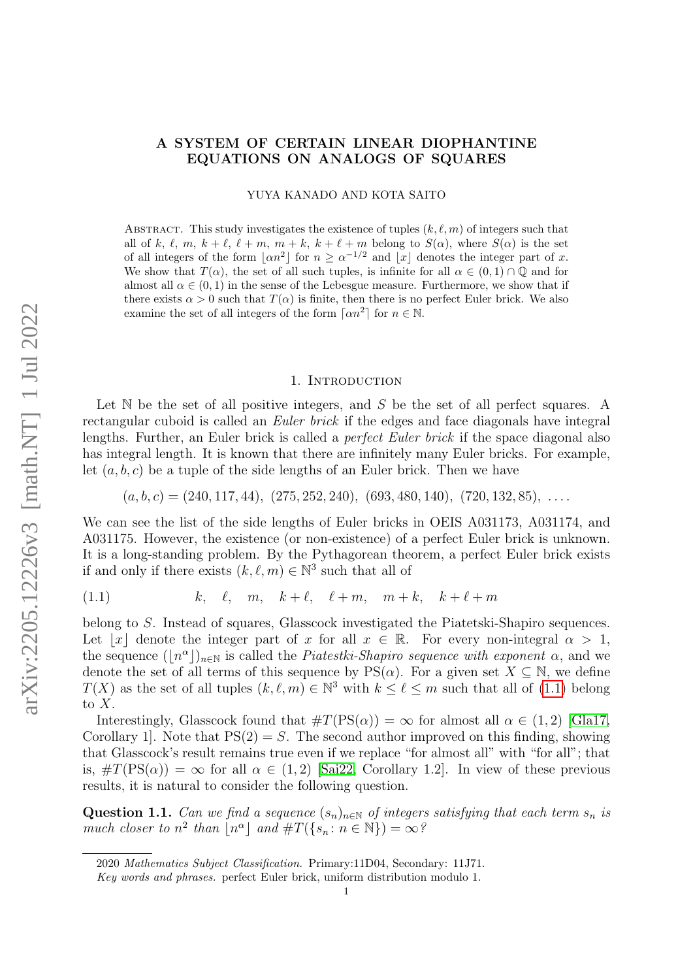# A SYSTEM OF CERTAIN LINEAR DIOPHANTINE EQUATIONS ON ANALOGS OF SQUARES

YUYA KANADO AND KOTA SAITO

ABSTRACT. This study investigates the existence of tuples  $(k, \ell, m)$  of integers such that all of k,  $\ell, m, k + \ell, \ell + m, m + k, k + \ell + m$  belong to  $S(\alpha)$ , where  $S(\alpha)$  is the set of all integers of the form  $|\alpha n^2|$  for  $n \ge \alpha^{-1/2}$  and  $|x|$  denotes the integer part of x. We show that  $T(\alpha)$ , the set of all such tuples, is infinite for all  $\alpha \in (0,1) \cap \mathbb{Q}$  and for almost all  $\alpha \in (0,1)$  in the sense of the Lebesgue measure. Furthermore, we show that if there exists  $\alpha > 0$  such that  $T(\alpha)$  is finite, then there is no perfect Euler brick. We also examine the set of all integers of the form  $\lceil \alpha n^2 \rceil$  for  $n \in \mathbb{N}$ .

### 1. INTRODUCTION

Let  $\mathbb N$  be the set of all positive integers, and  $S$  be the set of all perfect squares. A rectangular cuboid is called an *Euler brick* if the edges and face diagonals have integral lengths. Further, an Euler brick is called a perfect Euler brick if the space diagonal also has integral length. It is known that there are infinitely many Euler bricks. For example, let  $(a, b, c)$  be a tuple of the side lengths of an Euler brick. Then we have

$$
(a, b, c) = (240, 117, 44), (275, 252, 240), (693, 480, 140), (720, 132, 85), \ldots
$$

We can see the list of the side lengths of Euler bricks in OEIS A031173, A031174, and A031175. However, the existence (or non-existence) of a perfect Euler brick is unknown. It is a long-standing problem. By the Pythagorean theorem, a perfect Euler brick exists if and only if there exists  $(k, \ell, m) \in \mathbb{N}^3$  such that all of

<span id="page-0-0"></span>
$$
(1.1) \t k, \t l, \t m, \t k + \ell, \t l + m, \t m + k, \t k + \ell + m
$$

belong to S. Instead of squares, Glasscock investigated the Piatetski-Shapiro sequences. Let |x| denote the integer part of x for all  $x \in \mathbb{R}$ . For every non-integral  $\alpha > 1$ , the sequence  $(\lfloor n^{\alpha}\rfloor)_{n\in\mathbb{N}}$  is called the *Piatestki-Shapiro sequence with exponent*  $\alpha$ , and we denote the set of all terms of this sequence by  $PS(\alpha)$ . For a given set  $X \subseteq \mathbb{N}$ , we define  $T(X)$  as the set of all tuples  $(k, \ell, m) \in \mathbb{N}^3$  with  $k \leq \ell \leq m$  such that all of [\(1.1\)](#page-0-0) belong to  $X$ .

Interestingly, Glasscock found that  $\#T(\text{PS}(\alpha)) = \infty$  for almost all  $\alpha \in (1, 2)$  [\[Gla17,](#page-19-0) Corollary 1. Note that  $PS(2) = S$ . The second author improved on this finding, showing that Glasscock's result remains true even if we replace "for almost all" with "for all"; that is,  $\#T(\text{PS}(\alpha)) = \infty$  for all  $\alpha \in (1, 2)$  [\[Sai22,](#page-19-1) Corollary 1.2]. In view of these previous results, it is natural to consider the following question.

<span id="page-0-1"></span>Question 1.1. Can we find a sequence  $(s_n)_{n\in\mathbb{N}}$  of integers satisfying that each term  $s_n$  is much closer to  $n^2$  than  $\lfloor n^{\alpha} \rfloor$  and  $\#T(\lbrace s_n : n \in \mathbb{N} \rbrace) = \infty$ ?

<sup>2020</sup> Mathematics Subject Classification. Primary:11D04, Secondary: 11J71.

Key words and phrases. perfect Euler brick, uniform distribution modulo 1.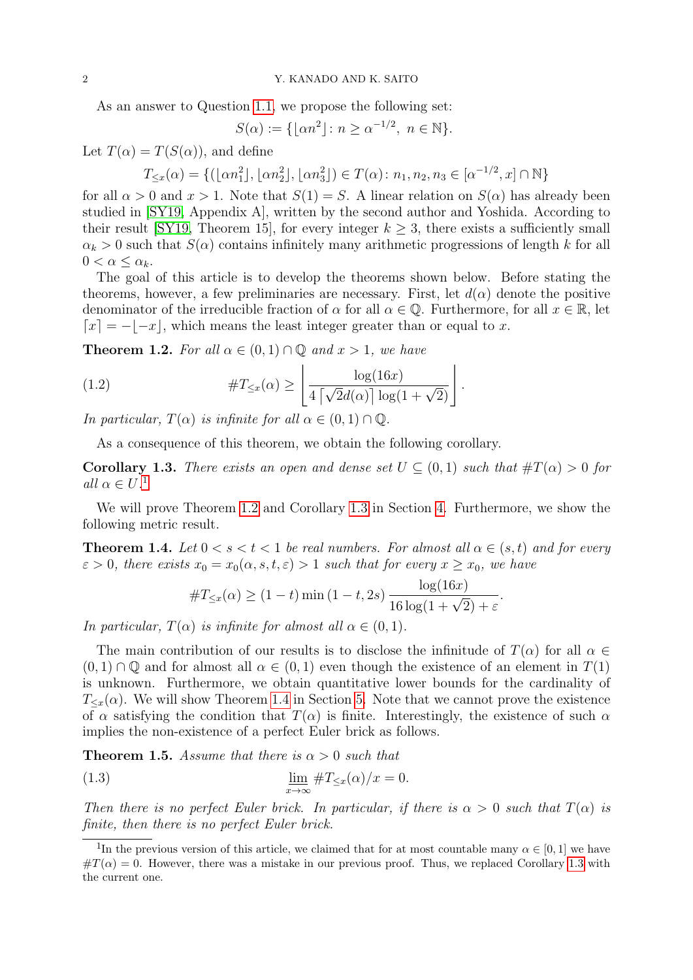As an answer to Question [1.1,](#page-0-1) we propose the following set:

$$
S(\alpha) := \{ \lfloor \alpha n^2 \rfloor \colon n \ge \alpha^{-1/2}, \ n \in \mathbb{N} \}.
$$

Let  $T(\alpha) = T(S(\alpha))$ , and define

$$
T_{\leq x}(\alpha) = \{ (\lfloor \alpha n_1^2 \rfloor, \lfloor \alpha n_2^2 \rfloor, \lfloor \alpha n_3^2 \rfloor) \in T(\alpha) \colon n_1, n_2, n_3 \in [\alpha^{-1/2}, x] \cap \mathbb{N} \}
$$

for all  $\alpha > 0$  and  $x > 1$ . Note that  $S(1) = S$ . A linear relation on  $S(\alpha)$  has already been studied in [\[SY19,](#page-19-2) Appendix A], written by the second author and Yoshida. According to their result [\[SY19,](#page-19-2) Theorem 15], for every integer  $k \geq 3$ , there exists a sufficiently small  $\alpha_k > 0$  such that  $S(\alpha)$  contains infinitely many arithmetic progressions of length k for all  $0 < \alpha \leq \alpha_k$ .

The goal of this article is to develop the theorems shown below. Before stating the theorems, however, a few preliminaries are necessary. First, let  $d(\alpha)$  denote the positive denominator of the irreducible fraction of  $\alpha$  for all  $\alpha \in \mathbb{Q}$ . Furthermore, for all  $x \in \mathbb{R}$ , let  $\lceil x \rceil = -\lceil -x \rceil$ , which means the least integer greater than or equal to x.

<span id="page-1-1"></span>**Theorem 1.2.** For all  $\alpha \in (0,1) \cap \mathbb{Q}$  and  $x > 1$ , we have

(1.2) 
$$
\#T_{\leq x}(\alpha) \geq \left\lfloor \frac{\log(16x)}{4\left\lceil \sqrt{2}d(\alpha) \right\rceil \log(1+\sqrt{2})} \right\rfloor.
$$

In particular,  $T(\alpha)$  is infinite for all  $\alpha \in (0,1) \cap \mathbb{Q}$ .

As a consequence of this theorem, we obtain the following corollary.

<span id="page-1-2"></span>**Corollary 1.3.** There exists an open and dense set  $U \subseteq (0,1)$  such that  $\#T(\alpha) > 0$  for all  $\alpha \in U^{\perp}$ 

We will prove Theorem [1.2](#page-1-1) and Corollary [1.3](#page-1-2) in Section [4.](#page-6-0) Furthermore, we show the following metric result.

<span id="page-1-3"></span>**Theorem 1.4.** Let  $0 < s < t < 1$  be real numbers. For almost all  $\alpha \in (s, t)$  and for every  $\varepsilon > 0$ , there exists  $x_0 = x_0(\alpha, s, t, \varepsilon) > 1$  such that for every  $x \ge x_0$ , we have

$$
\#T_{\leq x}(\alpha) \geq (1-t) \min(1-t, 2s) \frac{\log(16x)}{16 \log(1+\sqrt{2})+\varepsilon}.
$$

In particular,  $T(\alpha)$  is infinite for almost all  $\alpha \in (0,1)$ .

The main contribution of our results is to disclose the infinitude of  $T(\alpha)$  for all  $\alpha \in$  $(0, 1) \cap \mathbb{Q}$  and for almost all  $\alpha \in (0, 1)$  even though the existence of an element in  $T(1)$ is unknown. Furthermore, we obtain quantitative lower bounds for the cardinality of  $T_{\leq x}(\alpha)$ . We will show Theorem [1.4](#page-1-3) in Section [5.](#page-7-0) Note that we cannot prove the existence of  $\alpha$  satisfying the condition that  $T(\alpha)$  is finite. Interestingly, the existence of such  $\alpha$ implies the non-existence of a perfect Euler brick as follows.

<span id="page-1-4"></span>**Theorem 1.5.** Assume that there is  $\alpha > 0$  such that

(1.3) 
$$
\lim_{x \to \infty} \#T_{\leq x}(\alpha)/x = 0.
$$

Then there is no perfect Euler brick. In particular, if there is  $\alpha > 0$  such that  $T(\alpha)$  is finite, then there is no perfect Euler brick.

<span id="page-1-0"></span><sup>&</sup>lt;sup>1</sup>In the previous version of this article, we claimed that for at most countable many  $\alpha \in [0,1]$  we have  $\#T(\alpha) = 0$ . However, there was a mistake in our previous proof. Thus, we replaced Corollary [1.3](#page-1-2) with the current one.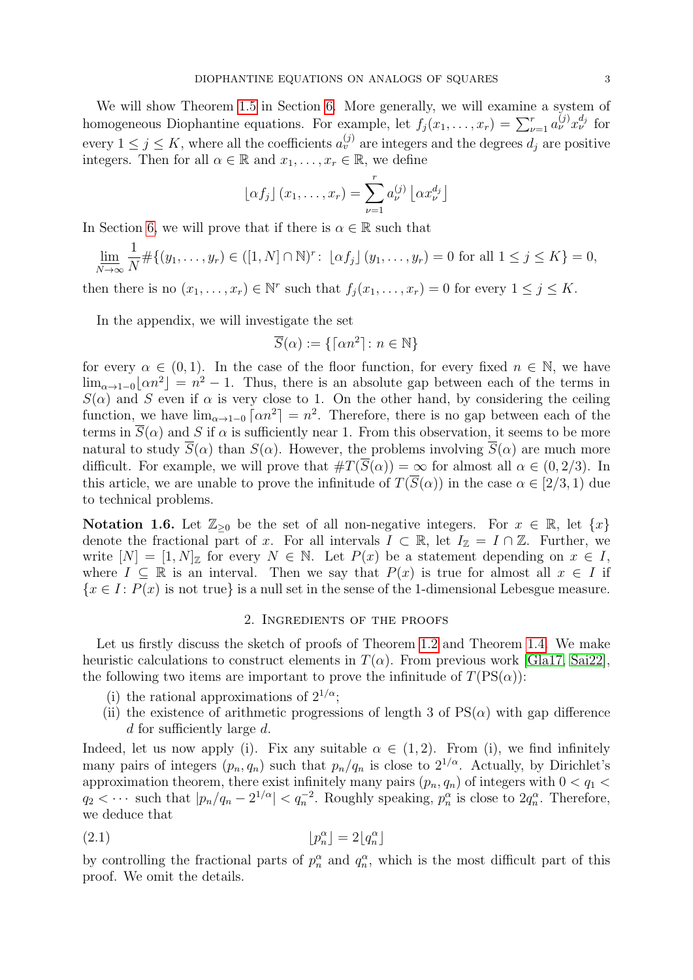We will show Theorem [1.5](#page-1-4) in Section [6.](#page-9-0) More generally, we will examine a system of homogeneous Diophantine equations. For example, let  $f_j(x_1, \ldots, x_r) = \sum_{\nu=1}^r a_{\nu}^{(j)} x_{\nu}^{d_j}$  for every  $1 \leq j \leq K$ , where all the coefficients  $a_v^{(j)}$  are integers and the degrees  $d_j$  are positive integers. Then for all  $\alpha \in \mathbb{R}$  and  $x_1, \ldots, x_r \in \mathbb{R}$ , we define

$$
\lfloor \alpha f_j \rfloor (x_1, \ldots, x_r) = \sum_{\nu=1}^r a_{\nu}^{(j)} \lfloor \alpha x_{\nu}^{d_j} \rfloor
$$

In Section [6,](#page-9-0) we will prove that if there is  $\alpha \in \mathbb{R}$  such that

$$
\underline{\lim}_{N \to \infty} \frac{1}{N} \# \{ (y_1, \dots, y_r) \in ([1, N] \cap \mathbb{N})^r : \lfloor \alpha f_j \rfloor (y_1, \dots, y_r) = 0 \text{ for all } 1 \le j \le K \} = 0,
$$

then there is no  $(x_1, \ldots, x_r) \in \mathbb{N}^r$  such that  $f_j(x_1, \ldots, x_r) = 0$  for every  $1 \leq j \leq K$ .

In the appendix, we will investigate the set

$$
\overline{S}(\alpha):=\{\lceil \alpha n^2\rceil\colon n\in\mathbb{N}\}
$$

for every  $\alpha \in (0,1)$ . In the case of the floor function, for every fixed  $n \in \mathbb{N}$ , we have  $\lim_{\alpha \to 1-0} [\alpha n^2] = n^2 - 1$ . Thus, there is an absolute gap between each of the terms in  $S(\alpha)$  and S even if  $\alpha$  is very close to 1. On the other hand, by considering the ceiling function, we have  $\lim_{\alpha\to 1-0} \lceil \alpha n^2 \rceil = n^2$ . Therefore, there is no gap between each of the terms in  $\overline{S}(\alpha)$  and S if  $\alpha$  is sufficiently near 1. From this observation, it seems to be more natural to study  $\overline{S}(\alpha)$  than  $S(\alpha)$ . However, the problems involving  $\overline{S}(\alpha)$  are much more difficult. For example, we will prove that  $\#T(\overline{S}(\alpha)) = \infty$  for almost all  $\alpha \in (0, 2/3)$ . In this article, we are unable to prove the infinitude of  $T(\overline{S}(\alpha))$  in the case  $\alpha \in [2/3, 1)$  due to technical problems.

Notation 1.6. Let  $\mathbb{Z}_{\geq 0}$  be the set of all non-negative integers. For  $x \in \mathbb{R}$ , let  $\{x\}$ denote the fractional part of x. For all intervals  $I \subset \mathbb{R}$ , let  $I_{\mathbb{Z}} = I \cap \mathbb{Z}$ . Further, we write  $[N] = [1, N]_{\mathbb{Z}}$  for every  $N \in \mathbb{N}$ . Let  $P(x)$  be a statement depending on  $x \in I$ , where  $I \subseteq \mathbb{R}$  is an interval. Then we say that  $P(x)$  is true for almost all  $x \in I$  if  ${x \in I : P(x)$  is not true is a null set in the sense of the 1-dimensional Lebesgue measure.

## <span id="page-2-0"></span>2. Ingredients of the proofs

Let us firstly discuss the sketch of proofs of Theorem [1.2](#page-1-1) and Theorem [1.4.](#page-1-3) We make heuristic calculations to construct elements in  $T(\alpha)$ . From previous work [\[Gla17,](#page-19-0) [Sai22\]](#page-19-1), the following two items are important to prove the infinitude of  $T(PS(\alpha))$ :

- (i) the rational approximations of  $2^{1/\alpha}$ ;
- (ii) the existence of arithmetic progressions of length 3 of  $PS(\alpha)$  with gap difference d for sufficiently large d.

Indeed, let us now apply (i). Fix any suitable  $\alpha \in (1,2)$ . From (i), we find infinitely many pairs of integers  $(p_n, q_n)$  such that  $p_n/q_n$  is close to  $2^{1/\alpha}$ . Actually, by Dirichlet's approximation theorem, there exist infinitely many pairs  $(p_n, q_n)$  of integers with  $0 < q_1 <$  $q_2 < \cdots$  such that  $|p_n/q_n - 2^{1/\alpha}| < q_n^{-2}$ . Roughly speaking,  $p_n^{\alpha}$  is close to  $2q_n^{\alpha}$ . Therefore, we deduce that

$$
[p_n^{\alpha}] = 2[q_n^{\alpha}]
$$

by controlling the fractional parts of  $p_n^{\alpha}$  and  $q_n^{\alpha}$ , which is the most difficult part of this proof. We omit the details.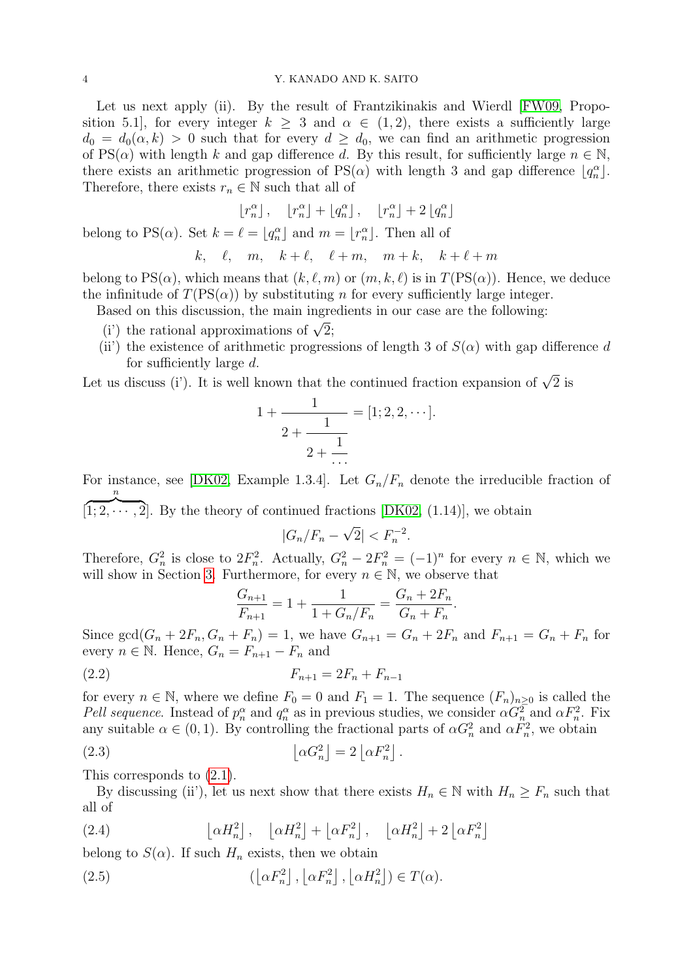Let us next apply (ii). By the result of Frantzikinakis and Wierdl [\[FW09,](#page-19-3) Proposition 5.1, for every integer  $k \geq 3$  and  $\alpha \in (1, 2)$ , there exists a sufficiently large  $d_0 = d_0(\alpha, k) > 0$  such that for every  $d > d_0$ , we can find an arithmetic progression of PS( $\alpha$ ) with length k and gap difference d. By this result, for sufficiently large  $n \in \mathbb{N}$ , there exists an arithmetic progression of  $PS(\alpha)$  with length 3 and gap difference  $\lfloor q_n^{\alpha} \rfloor$ . Therefore, there exists  $r_n \in \mathbb{N}$  such that all of

$$
\lfloor r_n^\alpha \rfloor \,, \quad \lfloor r_n^\alpha \rfloor + \lfloor q_n^\alpha \rfloor \,, \quad \lfloor r_n^\alpha \rfloor + 2 \lfloor q_n^\alpha \rfloor
$$

belong to PS( $\alpha$ ). Set  $k = \ell = \lfloor q_n^{\alpha} \rfloor$  and  $m = \lfloor r_n^{\alpha} \rfloor$ . Then all of

$$
k, \quad \ell, \quad m, \quad k+\ell, \quad \ell+m, \quad m+k, \quad k+\ell+m
$$

belong to  $PS(\alpha)$ , which means that  $(k, \ell, m)$  or  $(m, k, \ell)$  is in  $T(PS(\alpha))$ . Hence, we deduce the infinitude of  $T(\text{PS}(\alpha))$  by substituting n for every sufficiently large integer.

Based on this discussion, the main ingredients in our case are the following:

- ascu on this discussion, the main ingred<br>(i') the rational approximations of  $\sqrt{2}$ ;
- (ii) the existence of arithmetic progressions of length 3 of  $S(\alpha)$  with gap difference d for sufficiently large d.

Let us discuss (i'). It is well known that the continued fraction expansion of  $\sqrt{2}$  is

$$
1 + \frac{1}{2 + \frac{1}{2 + \frac{1}{\cdots}}} = [1; 2, 2, \cdots].
$$

For instance, see [\[DK02,](#page-19-4) Example 1.3.4]. Let  $G_n/F_n$  denote the irreducible fraction of n

[  $[1; 2, \dots, 2]$ . By the theory of continued fractions [\[DK02,](#page-19-4) (1.14)], we obtain √

$$
|G_n/F_n - \sqrt{2}| < F_n^{-2}.
$$

Therefore,  $G_n^2$  is close to  $2F_n^2$ . Actually,  $G_n^2 - 2F_n^2 = (-1)^n$  for every  $n \in \mathbb{N}$ , which we will show in Section [3.](#page-5-0) Furthermore, for every  $n \in \mathbb{N}$ , we observe that

$$
\frac{G_{n+1}}{F_{n+1}} = 1 + \frac{1}{1 + G_n/F_n} = \frac{G_n + 2F_n}{G_n + F_n}.
$$

Since  $gcd(G_n + 2F_n, G_n + F_n) = 1$ , we have  $G_{n+1} = G_n + 2F_n$  and  $F_{n+1} = G_n + F_n$  for every  $n \in \mathbb{N}$ . Hence,  $G_n = F_{n+1} - F_n$  and

$$
(2.2) \t\t\t F_{n+1} = 2F_n + F_{n-1}
$$

for every  $n \in \mathbb{N}$ , where we define  $F_0 = 0$  and  $F_1 = 1$ . The sequence  $(F_n)_{n \geq 0}$  is called the Pell sequence. Instead of  $p_n^{\alpha}$  and  $q_n^{\alpha}$  as in previous studies, we consider  $\alpha G_n^2$  and  $\alpha F_n^2$ . Fix any suitable  $\alpha \in (0, 1)$ . By controlling the fractional parts of  $\alpha G_n^2$  and  $\alpha F_n^2$ , we obtain

(2.3) 
$$
\left[\alpha G_n^2\right] = 2\left[\alpha F_n^2\right].
$$

This corresponds to [\(2.1\)](#page-2-0).

By discussing (ii'), let us next show that there exists  $H_n \in \mathbb{N}$  with  $H_n \geq F_n$  such that all of

<span id="page-3-0"></span>(2.4)  $\alpha H_n^2 \Big] \, , \quad \left[ \alpha H_n^2 \right] + \left[ \alpha F_n^2 \right] , \quad \left[ \alpha H_n^2 \right] + 2 \left[ \alpha F_n^2 \right]$ 

belong to  $S(\alpha)$ . If such  $H_n$  exists, then we obtain

(2.5) 
$$
\left(\left[\alpha F_n^2\right], \left[\alpha F_n^2\right], \left[\alpha H_n^2\right]\right) \in T(\alpha).
$$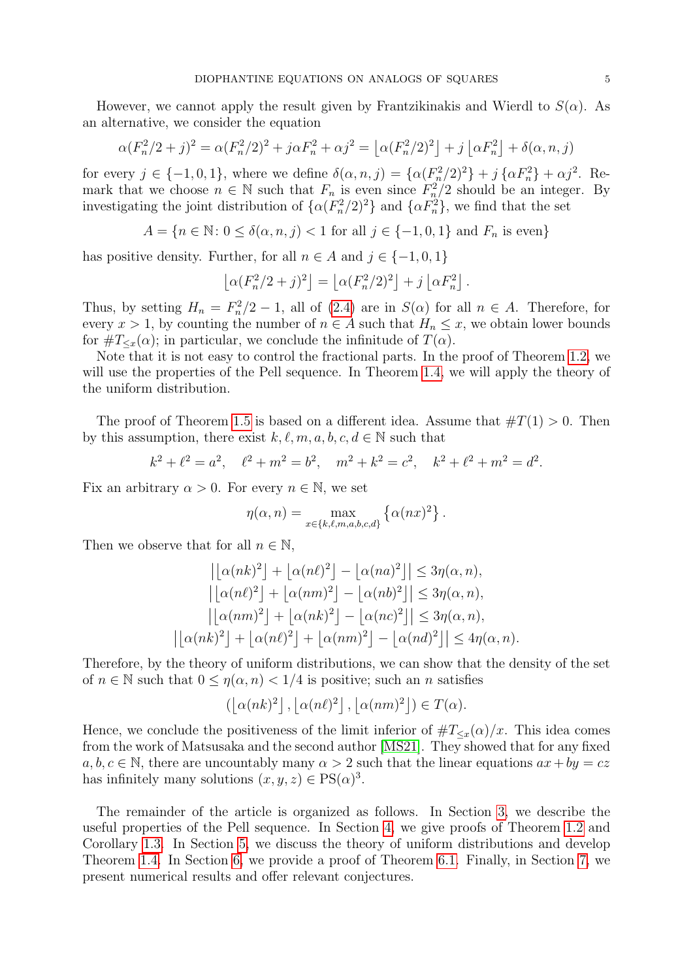However, we cannot apply the result given by Frantzikinakis and Wierdl to  $S(\alpha)$ . As an alternative, we consider the equation

$$
\alpha (F_n^2/2+j)^2 = \alpha (F_n^2/2)^2 + j\alpha F_n^2 + \alpha j^2 = \left[\alpha (F_n^2/2)^2\right] + j\left[\alpha F_n^2\right] + \delta(\alpha, n, j)
$$

for every  $j \in \{-1,0,1\}$ , where we define  $\delta(\alpha,n,j) = \{\alpha (F_n^2/2)^2\} + j \{\alpha F_n^2\} + \alpha j^2$ . Remark that we choose  $n \in \mathbb{N}$  such that  $F_n$  is even since  $F_n^2/2$  should be an integer. By investigating the joint distribution of  $\{\alpha(F_n^2/2)^2\}$  and  $\{\alpha F_n^2\}$ , we find that the set

$$
A = \{ n \in \mathbb{N} \colon 0 \le \delta(\alpha, n, j) < 1 \text{ for all } j \in \{-1, 0, 1\} \text{ and } F_n \text{ is even} \}
$$

has positive density. Further, for all  $n \in A$  and  $j \in \{-1, 0, 1\}$ 

$$
\left\lfloor \alpha (F_n^2/2+j)^2 \right\rfloor = \left\lfloor \alpha (F_n^2/2)^2 \right\rfloor + j \left\lfloor \alpha F_n^2 \right\rfloor.
$$

Thus, by setting  $H_n = F_n^2/2 - 1$ , all of [\(2.4\)](#page-3-0) are in  $S(\alpha)$  for all  $n \in A$ . Therefore, for every  $x > 1$ , by counting the number of  $n \in A$  such that  $H_n \leq x$ , we obtain lower bounds for  $\#T_{\leq x}(\alpha)$ ; in particular, we conclude the infinitude of  $T(\alpha)$ .

Note that it is not easy to control the fractional parts. In the proof of Theorem [1.2,](#page-1-1) we will use the properties of the Pell sequence. In Theorem [1.4,](#page-1-3) we will apply the theory of the uniform distribution.

The proof of Theorem [1.5](#page-1-4) is based on a different idea. Assume that  $\#T(1) > 0$ . Then by this assumption, there exist  $k, \ell, m, a, b, c, d \in \mathbb{N}$  such that

$$
k^2 + \ell^2 = a^2
$$
,  $\ell^2 + m^2 = b^2$ ,  $m^2 + k^2 = c^2$ ,  $k^2 + \ell^2 + m^2 = d^2$ .

Fix an arbitrary  $\alpha > 0$ . For every  $n \in \mathbb{N}$ , we set

$$
\eta(\alpha, n) = \max_{x \in \{k, \ell, m, a, b, c, d\}} \left\{ \alpha(nx)^2 \right\}.
$$

Then we observe that for all  $n \in \mathbb{N}$ ,

$$
\left| \left[ \alpha(nk)^2 \right] + \left[ \alpha(n\ell)^2 \right] - \left[ \alpha(na)^2 \right] \right| \leq 3\eta(\alpha, n),
$$
  
\n
$$
\left| \left[ \alpha(n\ell)^2 \right] + \left[ \alpha(nm)^2 \right] - \left[ \alpha(nb)^2 \right] \right| \leq 3\eta(\alpha, n),
$$
  
\n
$$
\left| \left[ \alpha(nm)^2 \right] + \left[ \alpha(nk)^2 \right] - \left[ \alpha(nc)^2 \right] \right| \leq 3\eta(\alpha, n),
$$
  
\n
$$
\left| \left[ \alpha(nk)^2 \right] + \left[ \alpha(n\ell)^2 \right] + \left[ \alpha(nm)^2 \right] - \left[ \alpha(nd)^2 \right] \right| \leq 4\eta(\alpha, n).
$$

Therefore, by the theory of uniform distributions, we can show that the density of the set of  $n \in \mathbb{N}$  such that  $0 \le \eta(\alpha, n) < 1/4$  is positive; such an n satisfies

$$
\left(\left\lfloor \alpha(nk)^2\right\rfloor, \left\lfloor \alpha(n\ell)^2\right\rfloor, \left\lfloor \alpha(nm)^2\right\rfloor\right) \in T(\alpha).
$$

Hence, we conclude the positiveness of the limit inferior of  $\#T_{\leq x}(\alpha)/x$ . This idea comes from the work of Matsusaka and the second author [\[MS21\]](#page-19-5). They showed that for any fixed  $a, b, c \in \mathbb{N}$ , there are uncountably many  $\alpha > 2$  such that the linear equations  $ax + by = cz$ has infinitely many solutions  $(x, y, z) \in PS(\alpha)^3$ .

The remainder of the article is organized as follows. In Section [3,](#page-5-0) we describe the useful properties of the Pell sequence. In Section [4,](#page-6-0) we give proofs of Theorem [1.2](#page-1-1) and Corollary [1.3.](#page-1-2) In Section [5,](#page-7-0) we discuss the theory of uniform distributions and develop Theorem [1.4.](#page-1-3) In Section [6,](#page-9-0) we provide a proof of Theorem [6.1.](#page-10-0) Finally, in Section [7,](#page-12-0) we present numerical results and offer relevant conjectures.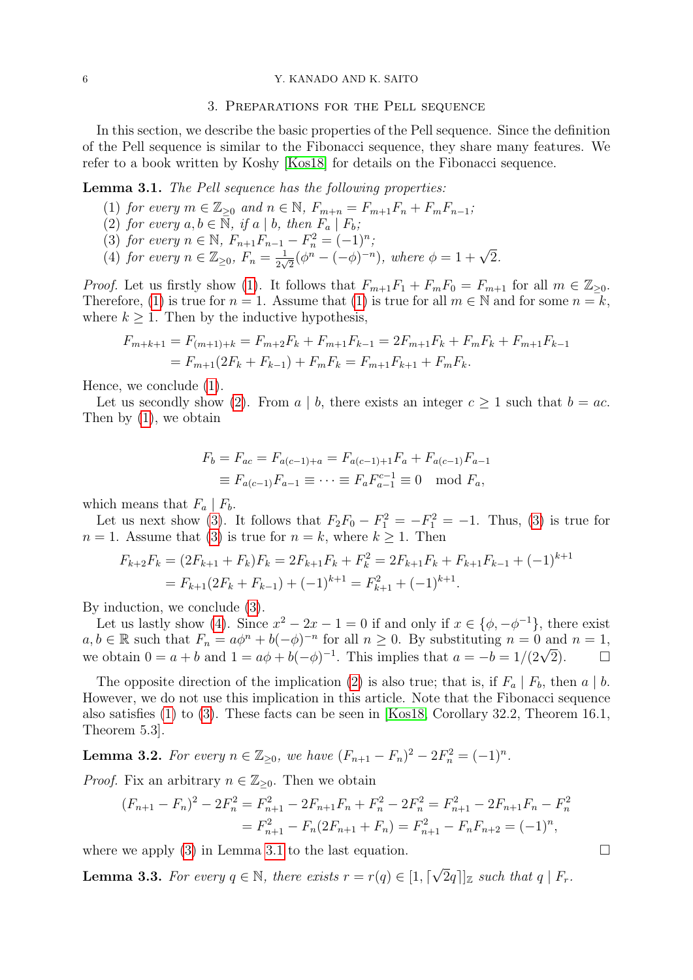# 3. Preparations for the Pell sequence

<span id="page-5-0"></span>In this section, we describe the basic properties of the Pell sequence. Since the definition of the Pell sequence is similar to the Fibonacci sequence, they share many features. We refer to a book written by Koshy [\[Kos18\]](#page-19-6) for details on the Fibonacci sequence.

## <span id="page-5-5"></span><span id="page-5-1"></span>Lemma 3.1. The Pell sequence has the following properties:

- (1) for every  $m \in \mathbb{Z}_{\geq 0}$  and  $n \in \mathbb{N}$ ,  $F_{m+n} = F_{m+1}F_n + F_mF_{n-1}$ ;
- <span id="page-5-2"></span>(2) for every  $a, b \in \mathbb{N}$ , if  $a \mid b$ , then  $F_a \mid F_b$ ;
- <span id="page-5-3"></span>(3) for every  $n \in \mathbb{N}$ ,  $F_{n+1}F_{n-1} - F_n^2 = (-1)^n$ ;
- <span id="page-5-4"></span>(4) for every  $n \in \mathbb{Z}_{\geq 0}$ ,  $F_n = \frac{1}{2n}$  $\frac{1}{2\sqrt{2}}\left(\phi^{n} - (-\phi)^{-n}\right), \text{ where } \phi = 1 + \sqrt{2}.$

*Proof.* Let us firstly show [\(1\)](#page-5-1). It follows that  $F_{m+1}F_1 + F_mF_0 = F_{m+1}$  for all  $m \in \mathbb{Z}_{\geq 0}$ . Therefore, [\(1\)](#page-5-1) is true for  $n = 1$ . Assume that (1) is true for all  $m \in \mathbb{N}$  and for some  $n = k$ , where  $k \geq 1$ . Then by the inductive hypothesis,

$$
F_{m+k+1} = F_{(m+1)+k} = F_{m+2}F_k + F_{m+1}F_{k-1} = 2F_{m+1}F_k + F_mF_k + F_{m+1}F_{k-1}
$$
  
=  $F_{m+1}(2F_k + F_{k-1}) + F_mF_k = F_{m+1}F_{k+1} + F_mF_k.$ 

Hence, we conclude [\(1\)](#page-5-1).

Let us secondly show [\(2\)](#page-5-2). From a | b, there exists an integer  $c \ge 1$  such that  $b = ac$ . Then by [\(1\)](#page-5-1), we obtain

$$
F_b = F_{ac} = F_{a(c-1)+a} = F_{a(c-1)+1}F_a + F_{a(c-1)}F_{a-1}
$$
  
\n
$$
\equiv F_{a(c-1)}F_{a-1} \equiv \cdots \equiv F_a F_{a-1}^{c-1} \equiv 0 \mod F_a,
$$

which means that  $F_a | F_b$ .

Let us next show [\(3\)](#page-5-3). It follows that  $F_2F_0 - F_1^2 = -F_1^2 = -1$ . Thus, (3) is true for  $n = 1$ . Assume that [\(3\)](#page-5-3) is true for  $n = k$ , where  $k \geq 1$ . Then

$$
F_{k+2}F_k = (2F_{k+1} + F_k)F_k = 2F_{k+1}F_k + F_k^2 = 2F_{k+1}F_k + F_{k+1}F_{k-1} + (-1)^{k+1}
$$
  
=  $F_{k+1}(2F_k + F_{k-1}) + (-1)^{k+1} = F_{k+1}^2 + (-1)^{k+1}$ .

By induction, we conclude [\(3\)](#page-5-3).

Let us lastly show [\(4\)](#page-5-4). Since  $x^2 - 2x - 1 = 0$  if and only if  $x \in \{\phi, -\phi^{-1}\}\$ , there exist  $a, b \in \mathbb{R}$  such that  $F_n = a\phi^n + b(-\phi)^{-n}$  for all  $n \ge 0$ . By substituting  $n = 0$  and  $n = 1$ ,  $a, b \in \mathbb{R}$  such that  $r_n = a\phi^2 + b(-\phi)^{-1}$  for an  $n \ge 0$ . By substituting  $n = 0$  and  $n = 1$ ,<br>we obtain  $0 = a + b$  and  $1 = a\phi + b(-\phi)^{-1}$ . This implies that  $a = -b = 1/(2\sqrt{2})$ .

The opposite direction of the implication [\(2\)](#page-5-2) is also true; that is, if  $F_a | F_b$ , then  $a | b$ . However, we do not use this implication in this article. Note that the Fibonacci sequence also satisfies [\(1\)](#page-5-1) to [\(3\)](#page-5-3). These facts can be seen in [\[Kos18,](#page-19-6) Corollary 32.2, Theorem 16.1, Theorem 5.3].

<span id="page-5-7"></span>**Lemma 3.2.** For every  $n \in \mathbb{Z}_{\geq 0}$ , we have  $(F_{n+1} - F_n)^2 - 2F_n^2 = (-1)^n$ .

*Proof.* Fix an arbitrary  $n \in \mathbb{Z}_{\geq 0}$ . Then we obtain

$$
(F_{n+1} - F_n)^2 - 2F_n^2 = F_{n+1}^2 - 2F_{n+1}F_n + F_n^2 - 2F_n^2 = F_{n+1}^2 - 2F_{n+1}F_n - F_n^2
$$
  
=  $F_{n+1}^2 - F_n(2F_{n+1} + F_n) = F_{n+1}^2 - F_nF_{n+2} = (-1)^n$ ,

where we apply [\(3\)](#page-5-3) in Lemma [3.1](#page-5-5) to the last equation.  $\Box$ 

<span id="page-5-6"></span>**Lemma 3.3.** For every  $q \in \mathbb{N}$ , there exists  $r = r(q) \in [1, \lceil \sqrt{q} \rceil]$  $[2q]$ <sub>z</sub> such that  $q \mid F_r$ .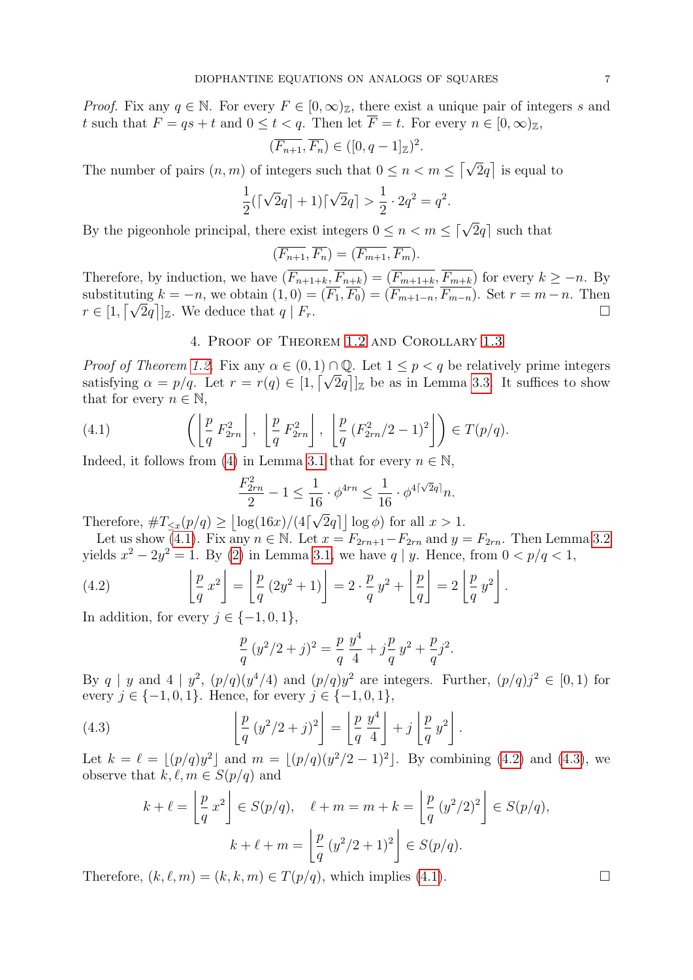*Proof.* Fix any  $q \in \mathbb{N}$ . For every  $F \in [0, \infty)_{\mathbb{Z}}$ , there exist a unique pair of integers s and t such that  $F = qs + t$  and  $0 \le t < q$ . Then let  $\overline{F} = t$ . For every  $n \in [0, \infty)_{\mathbb{Z}}$ ,

$$
(\overline{F_{n+1}}, \overline{F_n}) \in ([0, q-1]_{\mathbb{Z}})^2
$$

.

The number of pairs  $(n, m)$  of integers such that  $0 \le n < m \le \lceil \sqrt{2}q \rceil$  is equal to

$$
\frac{1}{2}(\lceil\sqrt{2}q\rceil + 1)\lceil\sqrt{2}q\rceil > \frac{1}{2} \cdot 2q^2 = q^2.
$$

By the pigeonhole principal, there exist integers  $0 \le n < m \le \lceil \sqrt{2}q \rceil$  such that

$$
(\overline{F_{n+1}}, \overline{F_n}) = (\overline{F_{m+1}}, \overline{F_m}).
$$

Therefore, by induction, we have  $(\overline{F_{n+1+k}}, \overline{F_{n+k}}) = (\overline{F_{m+1+k}}, \overline{F_{m+k}})$  for every  $k \geq -n$ . By substituting  $k = -n$ , we obtain  $(1, 0) = (F_1, F_0) = (F_{m+1-n}, F_{m-n})$ . Set  $r = m-n$ . Then substituting  $\kappa = -n$ , we obtain  $(1, 0) = (r_1, r_0) = (r_{m+1-n}, r_{m-n})$ . Set  $r = m-n$ . Then  $r \in [1, \lceil \sqrt{2}q \rceil]_{\mathbb{Z}}$ . We deduce that  $q \mid F_r$ .

# 4. Proof of Theorem [1.2](#page-1-1) and Corollary [1.3](#page-1-2)

<span id="page-6-0"></span>*Proof of Theorem [1.2.](#page-1-1)* Fix any  $\alpha \in (0,1) \cap \mathbb{Q}$ . Let  $1 \leq p < q$  be relatively prime integers *Proof of Integrem 1.2.* Pix any  $\alpha \in (0, 1) \cap \mathbb{Q}$ . Let  $1 \le p < q$  be relatively prime integers satisfying  $\alpha = p/q$ . Let  $r = r(q) \in [1, \lceil \sqrt{2q} \rceil]_Z$  be as in Lemma [3.3.](#page-5-6) It suffices to show that for every  $n \in \mathbb{N}$ ,

(4.1) 
$$
\left( \left\lfloor \frac{p}{q} F_{2rn}^2 \right\rfloor, \left\lfloor \frac{p}{q} F_{2rn}^2 \right\rfloor, \left\lfloor \frac{p}{q} (F_{2rn}^2/2 - 1)^2 \right\rfloor \right) \in T(p/q).
$$

Indeed, it follows from [\(4\)](#page-5-4) in Lemma [3.1](#page-5-5) that for every  $n \in \mathbb{N}$ ,

<span id="page-6-1"></span>
$$
\frac{F_{2rn}^2}{2} - 1 \le \frac{1}{16} \cdot \phi^{4rn} \le \frac{1}{16} \cdot \phi^{4\lceil \sqrt{2}q \rceil} n.
$$

Therefore,  $\#T_{\leq x}(p/q) \geq |\log(16x)/(4|)$  $\overline{2}q$  |  $\log \phi$  for all  $x > 1$ .

Let us show [\(4.1\)](#page-6-1). Fix any  $n \in \mathbb{N}$ . Let  $x = F_{2rn+1} - F_{2rn}$  and  $y = F_{2rn}$ . Then Lemma [3.2](#page-5-7) yields  $x^2 - 2y^2 = 1$ . By [\(2\)](#page-5-2) in Lemma [3.1,](#page-5-5) we have q | y. Hence, from  $0 < p/q < 1$ ,

(4.2) 
$$
\left\lfloor \frac{p}{q} x^2 \right\rfloor = \left\lfloor \frac{p}{q} (2y^2 + 1) \right\rfloor = 2 \cdot \frac{p}{q} y^2 + \left\lfloor \frac{p}{q} \right\rfloor = 2 \left\lfloor \frac{p}{q} y^2 \right\rfloor.
$$

In addition, for every  $j \in \{-1, 0, 1\}$ ,

<span id="page-6-3"></span><span id="page-6-2"></span>
$$
\frac{p}{q}(y^2/2+j)^2 = \frac{p}{q}\frac{y^4}{4} + j\frac{p}{q}y^2 + \frac{p}{q}j^2.
$$

By q | y and 4 |  $y^2$ ,  $(p/q)(y^4/4)$  and  $(p/q)y^2$  are integers. Further,  $(p/q)j^2 \in [0,1)$  for every  $j \in \{-1, 0, 1\}$ . Hence, for every  $j \in \{-1, 0, 1\}$ ,

(4.3) 
$$
\left[ \frac{p}{q} (y^2/2 + j)^2 \right] = \left[ \frac{p}{q} \frac{y^4}{4} \right] + j \left[ \frac{p}{q} y^2 \right].
$$

Let  $k = \ell = \lfloor (p/q)y^2 \rfloor$  and  $m = \lfloor (p/q)(y^2/2 - 1)^2 \rfloor$ . By combining [\(4.2\)](#page-6-2) and [\(4.3\)](#page-6-3), we observe that  $k, \ell, m \in S(p/q)$  and

$$
k + \ell = \left\lfloor \frac{p}{q} x^2 \right\rfloor \in S(p/q), \quad \ell + m = m + k = \left\lfloor \frac{p}{q} (y^2/2)^2 \right\rfloor \in S(p/q),
$$

$$
k + \ell + m = \left\lfloor \frac{p}{q} (y^2/2 + 1)^2 \right\rfloor \in S(p/q).
$$

Therefore,  $(k, \ell, m) = (k, k, m) \in T(p/q)$ , which implies [\(4.1\)](#page-6-1).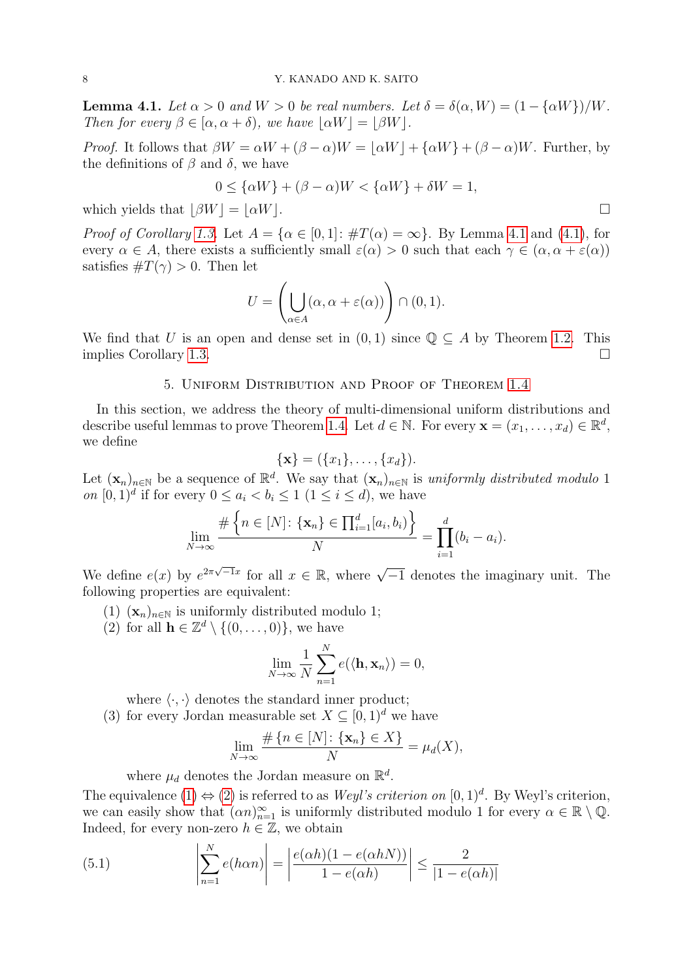<span id="page-7-1"></span>**Lemma 4.1.** Let  $\alpha > 0$  and  $W > 0$  be real numbers. Let  $\delta = \delta(\alpha, W) = (1 - {\alpha W})/W$ . Then for every  $\beta \in [\alpha, \alpha + \delta)$ , we have  $|\alpha W| = |\beta W|$ .

*Proof.* It follows that  $\beta W = \alpha W + (\beta - \alpha)W = |\alpha W| + {\alpha W} + (\beta - \alpha)W$ . Further, by the definitions of  $\beta$  and  $\delta$ , we have

$$
0 \le {\alpha W} + (\beta - \alpha)W < {\alpha W} + \delta W = 1,
$$

which yields that  $|\beta W| = |\alpha W|$ .

*Proof of Corollary [1.3.](#page-1-2)* Let  $A = \{\alpha \in [0,1]: \#T(\alpha) = \infty\}$ . By Lemma [4.1](#page-7-1) and [\(4.1\)](#page-6-1), for every  $\alpha \in A$ , there exists a sufficiently small  $\varepsilon(\alpha) > 0$  such that each  $\gamma \in (\alpha, \alpha + \varepsilon(\alpha))$ satisfies  $\#T(\gamma) > 0$ . Then let

$$
U = \left(\bigcup_{\alpha \in A} (\alpha, \alpha + \varepsilon(\alpha))\right) \cap (0, 1).
$$

We find that U is an open and dense set in  $(0, 1)$  since  $\mathbb{Q} \subseteq A$  by Theorem [1.2.](#page-1-1) This implies Corollary [1.3.](#page-1-2)

## 5. Uniform Distribution and Proof of Theorem [1.4](#page-1-3)

<span id="page-7-0"></span>In this section, we address the theory of multi-dimensional uniform distributions and describe useful lemmas to prove Theorem [1.4.](#page-1-3) Let  $d \in \mathbb{N}$ . For every  $\mathbf{x} = (x_1, \dots, x_d) \in \mathbb{R}^d$ , we define

$$
\{\mathbf x\} = (\{x_1\}, \ldots, \{x_d\}).
$$

Let  $(\mathbf{x}_n)_{n\in\mathbb{N}}$  be a sequence of  $\mathbb{R}^d$ . We say that  $(\mathbf{x}_n)_{n\in\mathbb{N}}$  is uniformly distributed modulo 1 on  $[0,1)^d$  if for every  $0 \leq a_i < b_i \leq 1 \ (1 \leq i \leq d)$ , we have

$$
\lim_{N\to\infty}\frac{\#\left\{n\in[N]:\{\mathbf{x}_n\}\in\prod_{i=1}^d[a_i,b_i)\right\}}{N}=\prod_{i=1}^d(b_i-a_i).
$$

We define  $e(x)$  by  $e^{2\pi\sqrt{-1}x}$  for all  $x \in \mathbb{R}$ , where  $\sqrt{-1}$  denotes the imaginary unit. The following properties are equivalent:

- <span id="page-7-2"></span>(1)  $(\mathbf{x}_n)_{n\in\mathbb{N}}$  is uniformly distributed modulo 1;
- <span id="page-7-3"></span>(2) for all  $\mathbf{h} \in \mathbb{Z}^d \setminus \{(0, \ldots, 0)\},\$  we have

$$
\lim_{N \to \infty} \frac{1}{N} \sum_{n=1}^{N} e(\langle \mathbf{h}, \mathbf{x}_n \rangle) = 0,
$$

where  $\langle \cdot, \cdot \rangle$  denotes the standard inner product;

(3) for every Jordan measurable set  $X \subseteq [0,1)^d$  we have

$$
\lim_{N \to \infty} \frac{\# \{ n \in [N] \colon \{ \mathbf{x}_n \} \in X \}}{N} = \mu_d(X),
$$

<span id="page-7-4"></span>where  $\mu_d$  denotes the Jordan measure on  $\mathbb{R}^d$ .

The equivalence  $(1) \Leftrightarrow (2)$  $(1) \Leftrightarrow (2)$  $(1) \Leftrightarrow (2)$  is referred to as *Weyl's criterion on*  $[0,1)^d$ . By Weyl's criterion, we can easily show that  $(\alpha n)_{n=1}^{\infty}$  is uniformly distributed modulo 1 for every  $\alpha \in \mathbb{R} \setminus \mathbb{Q}$ . Indeed, for every non-zero  $h \in \mathbb{Z}$ , we obtain

(5.1) 
$$
\left| \sum_{n=1}^{N} e(h\alpha n) \right| = \left| \frac{e(\alpha h)(1 - e(\alpha hN))}{1 - e(\alpha h)} \right| \le \frac{2}{|1 - e(\alpha h)|}
$$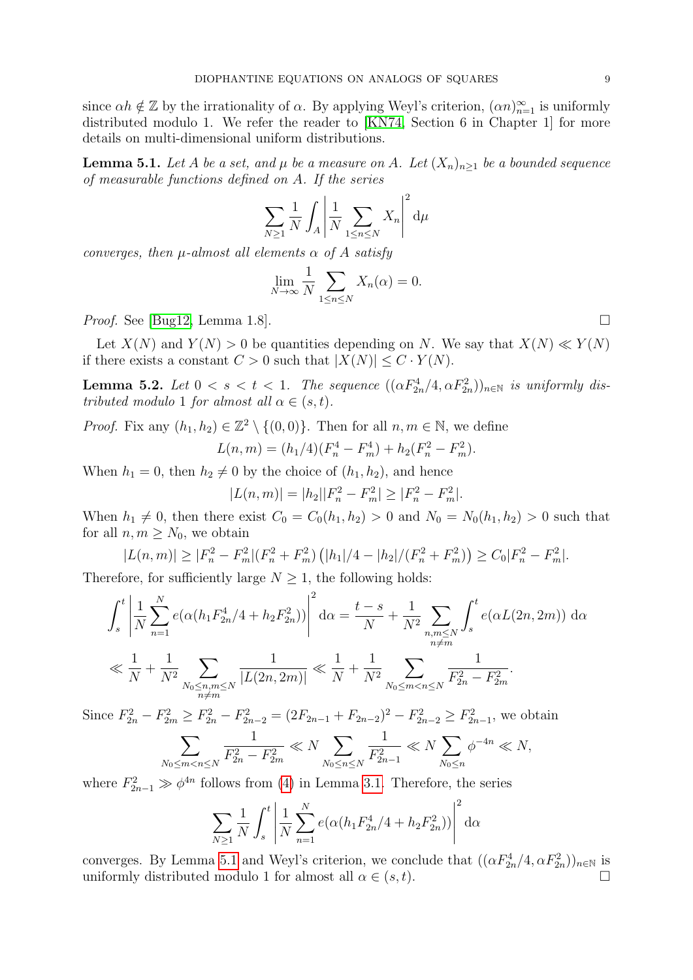since  $\alpha h \notin \mathbb{Z}$  by the irrationality of  $\alpha$ . By applying Weyl's criterion,  $(\alpha n)_{n=1}^{\infty}$  is uniformly distributed modulo 1. We refer the reader to [\[KN74,](#page-19-7) Section 6 in Chapter 1] for more details on multi-dimensional uniform distributions.

<span id="page-8-0"></span>**Lemma 5.1.** Let A be a set, and  $\mu$  be a measure on A. Let  $(X_n)_{n\geq 1}$  be a bounded sequence of measurable functions defined on A. If the series

$$
\sum_{N\geq 1} \frac{1}{N} \int_A \left| \frac{1}{N} \sum_{1 \leq n \leq N} X_n \right|^2 d\mu
$$

converges, then  $\mu$ -almost all elements  $\alpha$  of A satisfy

$$
\lim_{N \to \infty} \frac{1}{N} \sum_{1 \le n \le N} X_n(\alpha) = 0.
$$

*Proof.* See [\[Bug12,](#page-19-8) Lemma 1.8].

Let  $X(N)$  and  $Y(N) > 0$  be quantities depending on N. We say that  $X(N) \ll Y(N)$ if there exists a constant  $C > 0$  such that  $|X(N)| \leq C \cdot Y(N)$ .

<span id="page-8-1"></span>**Lemma 5.2.** Let  $0 < s < t < 1$ . The sequence  $((\alpha F_{2n}^4/4, \alpha F_{2n}^2))_{n \in \mathbb{N}}$  is uniformly distributed modulo 1 for almost all  $\alpha \in (s, t)$ .

*Proof.* Fix any  $(h_1, h_2) \in \mathbb{Z}^2 \setminus \{(0, 0)\}\)$ . Then for all  $n, m \in \mathbb{N}$ , we define  $L(n, m) = (h_1/4)(F_n^4 - F_m^4) + h_2(F_n^2 - F_m^2).$ 

When  $h_1 = 0$ , then  $h_2 \neq 0$  by the choice of  $(h_1, h_2)$ , and hence

$$
|L(n, m)| = |h_2||F_n^2 - F_m^2| \ge |F_n^2 - F_m^2|.
$$

When  $h_1 \neq 0$ , then there exist  $C_0 = C_0(h_1, h_2) > 0$  and  $N_0 = N_0(h_1, h_2) > 0$  such that for all  $n, m \geq N_0$ , we obtain

$$
|L(n, m)| \ge |F_n^2 - F_m^2|(F_n^2 + F_m^2)(|h_1|/4 - |h_2|/(F_n^2 + F_m^2)) \ge C_0|F_n^2 - F_m^2|.
$$

Therefore, for sufficiently large  $N \geq 1$ , the following holds:

$$
\int_{s}^{t} \left| \frac{1}{N} \sum_{n=1}^{N} e(\alpha (h_{1} F_{2n}^{4}/4 + h_{2} F_{2n}^{2})) \right|^{2} d\alpha = \frac{t-s}{N} + \frac{1}{N^{2}} \sum_{\substack{n,m \leq N \\ n \neq m}} \int_{s}^{t} e(\alpha L(2n, 2m)) d\alpha
$$
  

$$
\ll \frac{1}{N} + \frac{1}{N^{2}} \sum_{\substack{n_0 \leq n, m \leq N \\ n \neq m}} \frac{1}{|L(2n, 2m)|} \ll \frac{1}{N} + \frac{1}{N^{2}} \sum_{N_{0} \leq m < n \leq N} \frac{1}{F_{2n}^{2} - F_{2m}^{2}}.
$$

Since  $F_{2n}^2 - F_{2m}^2 \ge F_{2n}^2 - F_{2n-2}^2 = (2F_{2n-1} + F_{2n-2})^2 - F_{2n-2}^2 \ge F_{2n-1}^2$ , we obtain

$$
\sum_{N_0 \le m < n \le N} \frac{1}{F_{2n}^2 - F_{2m}^2} \ll N \sum_{N_0 \le n \le N} \frac{1}{F_{2n-1}^2} \ll N \sum_{N_0 \le n} \phi^{-4n} \ll N,
$$

where  $F_{2n-1}^2 \gg \phi^{4n}$  follows from [\(4\)](#page-5-4) in Lemma [3.1.](#page-5-5) Therefore, the series

$$
\sum_{N\geq 1} \frac{1}{N} \int_s^t \left| \frac{1}{N} \sum_{n=1}^N e(\alpha (h_1 F_{2n}^4 / 4 + h_2 F_{2n}^2)) \right|^2 d\alpha
$$

converges. By Lemma [5.1](#page-8-0) and Weyl's criterion, we conclude that  $((\alpha F_{2n}^4/4, \alpha F_{2n}^2))_{n\in\mathbb{N}}$  is uniformly distributed modulo 1 for almost all  $\alpha \in (s, t)$ .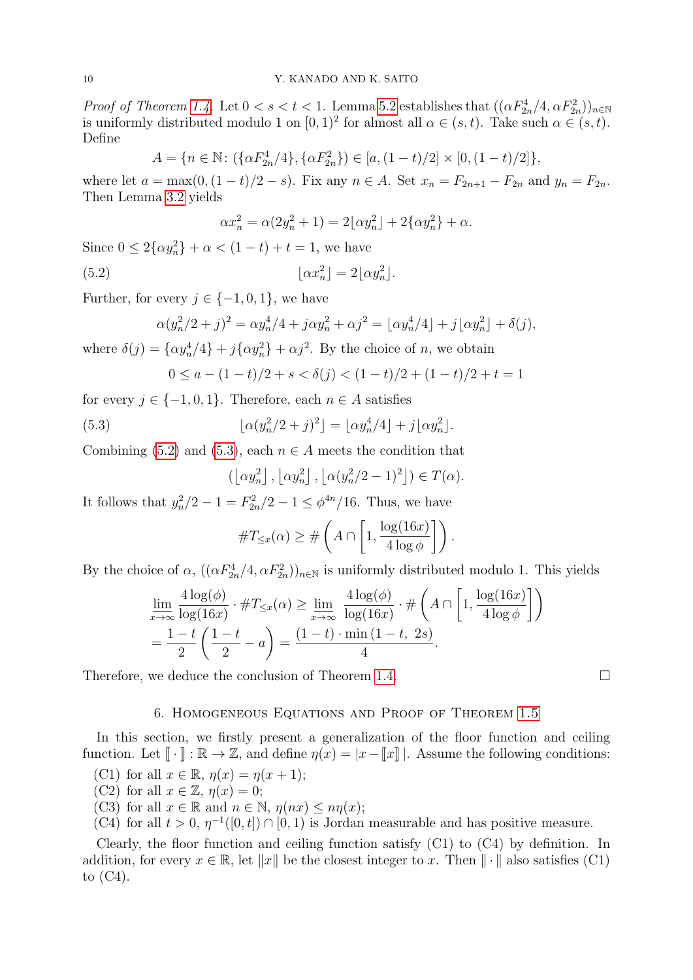*Proof of Theorem [1.4.](#page-1-3)* Let  $0 < s < t < 1$ . Lemma [5.2](#page-8-1) establishes that  $((\alpha F_{2n}^4/4, \alpha F_{2n}^2))_{n \in \mathbb{N}}$ is uniformly distributed modulo 1 on  $[0,1)^2$  for almost all  $\alpha \in (s,t)$ . Take such  $\alpha \in (s,t)$ . Define

$$
A = \{ n \in \mathbb{N} \colon (\{\alpha F_{2n}^4/4\}, \{\alpha F_{2n}^2\}) \in [a, (1-t)/2] \times [0, (1-t)/2] \},\
$$

where let  $a = \max(0, (1-t)/2 - s)$ . Fix any  $n \in A$ . Set  $x_n = F_{2n+1} - F_{2n}$  and  $y_n = F_{2n}$ . Then Lemma [3.2](#page-5-7) yields

<span id="page-9-1"></span>
$$
\alpha x_n^2 = \alpha (2y_n^2 + 1) = 2\lfloor \alpha y_n^2 \rfloor + 2\{\alpha y_n^2\} + \alpha.
$$

Since  $0 \le 2\{\alpha y_n^2\} + \alpha < (1 - t) + t = 1$ , we have

$$
(5.2) \t\t\t\t\t\t[ \alpha x_n^2 \rfloor = 2 \lfloor \alpha y_n^2 \rfloor.
$$

Further, for every  $j \in \{-1, 0, 1\}$ , we have

$$
\alpha(y_n^2/2+j)^2 = \alpha y_n^4/4 + j\alpha y_n^2 + \alpha j^2 = \lfloor \alpha y_n^4/4 \rfloor + j\lfloor \alpha y_n^2 \rfloor + \delta(j),
$$

where  $\delta(j) = {\alpha y_n^4/4} + j{\alpha y_n^2} + \alpha j^2$ . By the choice of *n*, we obtain

$$
0 \le a - (1 - t)/2 + s < \delta(j) < (1 - t)/2 + (1 - t)/2 + t = 1
$$

for every  $j \in \{-1, 0, 1\}$ . Therefore, each  $n \in A$  satisfies

(5.3) 
$$
\left[\alpha(y_n^2/2+j)^2\right] = \left[\alpha y_n^4/4\right] + j\left[\alpha y_n^2\right].
$$

Combining [\(5.2\)](#page-9-1) and [\(5.3\)](#page-9-2), each  $n \in A$  meets the condition that

<span id="page-9-2"></span>
$$
(\left\lfloor \alpha y_n^2 \right\rfloor, \left\lfloor \alpha y_n^2 \right\rfloor, \left\lfloor \alpha (y_n^2/2 - 1)^2 \right\rfloor) \in T(\alpha).
$$

It follows that  $y_n^2/2 - 1 = F_{2n}^2/2 - 1 \le \phi^{4n}/16$ . Thus, we have

$$
\#T_{\leq x}(\alpha) \geq \#\left(A \cap \left[1, \frac{\log(16x)}{4\log \phi}\right]\right).
$$

By the choice of  $\alpha$ ,  $((\alpha F_{2n}^4/4, \alpha F_{2n}^2))_{n \in \mathbb{N}}$  is uniformly distributed modulo 1. This yields

$$
\underline{\lim}_{x \to \infty} \frac{4 \log(\phi)}{\log(16x)} \cdot \#T_{\leq x}(\alpha) \geq \underline{\lim}_{x \to \infty} \frac{4 \log(\phi)}{\log(16x)} \cdot \# \left(A \cap \left[1, \frac{\log(16x)}{4 \log \phi}\right]\right)
$$
\n
$$
= \frac{1 - t}{2} \left(\frac{1 - t}{2} - a\right) = \frac{(1 - t) \cdot \min(1 - t, 2s)}{4}.
$$

Therefore, we deduce the conclusion of Theorem [1.4.](#page-1-3)

# 6. Homogeneous Equations and Proof of Theorem [1.5](#page-1-4)

<span id="page-9-0"></span>In this section, we firstly present a generalization of the floor function and ceiling function. Let  $\llbracket \cdot \rrbracket : \mathbb{R} \to \mathbb{Z}$ , and define  $\eta(x) = |x - \llbracket x \rrbracket |$ . Assume the following conditions:

(C1) for all  $x \in \mathbb{R}$ ,  $\eta(x) = \eta(x+1)$ ;

(C2) for all  $x \in \mathbb{Z}$ ,  $\eta(x) = 0$ ;

- (C3) for all  $x \in \mathbb{R}$  and  $n \in \mathbb{N}$ ,  $\eta(nx) \leq n\eta(x)$ ;
- (C4) for all  $t > 0$ ,  $\eta^{-1}([0, t]) \cap [0, 1)$  is Jordan measurable and has positive measure.

Clearly, the floor function and ceiling function satisfy  $(C1)$  to  $(C4)$  by definition. In addition, for every  $x \in \mathbb{R}$ , let  $||x||$  be the closest integer to x. Then  $|| \cdot ||$  also satisfies (C1) to (C4).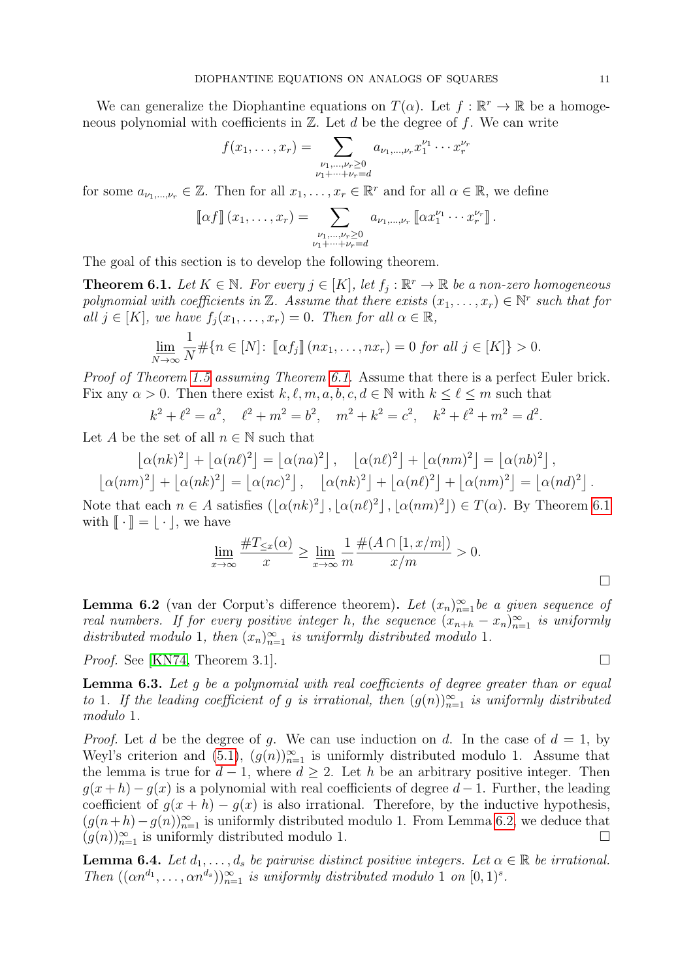We can generalize the Diophantine equations on  $T(\alpha)$ . Let  $f : \mathbb{R}^r \to \mathbb{R}$  be a homogeneous polynomial with coefficients in  $\mathbb{Z}$ . Let d be the degree of f. We can write

$$
f(x_1, \ldots, x_r) = \sum_{\substack{\nu_1, \ldots, \nu_r \ge 0 \\ \nu_1 + \cdots + \nu_r = d}} a_{\nu_1, \ldots, \nu_r} x_1^{\nu_1} \cdots x_r^{\nu_r}
$$

for some  $a_{\nu_1,\dots,\nu_r} \in \mathbb{Z}$ . Then for all  $x_1,\dots,x_r \in \mathbb{R}^r$  and for all  $\alpha \in \mathbb{R}$ , we define

$$
\llbracket \alpha f \rrbracket (x_1, \ldots, x_r) = \sum_{\substack{\nu_1, \ldots, \nu_r \geq 0 \\ \nu_1 + \cdots + \nu_r = d}} a_{\nu_1, \ldots, \nu_r} \llbracket \alpha x_1^{\nu_1} \cdots x_r^{\nu_r} \rrbracket.
$$

The goal of this section is to develop the following theorem.

<span id="page-10-0"></span>**Theorem 6.1.** Let  $K \in \mathbb{N}$ . For every  $j \in [K]$ , let  $f_j : \mathbb{R}^r \to \mathbb{R}$  be a non-zero homogeneous polynomial with coefficients in  $\mathbb{Z}$ . Assume that there exists  $(x_1, \ldots, x_r) \in \mathbb{N}^r$  such that for all  $j \in [K]$ , we have  $f_i(x_1, \ldots, x_r) = 0$ . Then for all  $\alpha \in \mathbb{R}$ ,

$$
\underline{\lim}_{N \to \infty} \frac{1}{N} \# \{ n \in [N] \colon \left[ \alpha f_j \right] \left( nx_1, \dots, nx_r \right) = 0 \text{ for all } j \in [K] \} > 0.
$$

Proof of Theorem [1.5](#page-1-4) assuming Theorem [6.1.](#page-10-0) Assume that there is a perfect Euler brick. Fix any  $\alpha > 0$ . Then there exist  $k, \ell, m, a, b, c, d \in \mathbb{N}$  with  $k \leq \ell \leq m$  such that

$$
k^2 + \ell^2 = a^2
$$
,  $\ell^2 + m^2 = b^2$ ,  $m^2 + k^2 = c^2$ ,  $k^2 + \ell^2 + m^2 = d^2$ .

Let A be the set of all  $n \in \mathbb{N}$  such that

$$
\left\lfloor \alpha(nk)^2 \right\rfloor + \left\lfloor \alpha(n\ell)^2 \right\rfloor = \left\lfloor \alpha(na)^2 \right\rfloor, \quad \left\lfloor \alpha(n\ell)^2 \right\rfloor + \left\lfloor \alpha(nm)^2 \right\rfloor = \left\lfloor \alpha(nb)^2 \right\rfloor,
$$

$$
\left\lfloor \alpha(nm)^2 \right\rfloor + \left\lfloor \alpha(nk)^2 \right\rfloor = \left\lfloor \alpha(nc)^2 \right\rfloor, \quad \left\lfloor \alpha(nk)^2 \right\rfloor + \left\lfloor \alpha(n\ell)^2 \right\rfloor + \left\lfloor \alpha(nm)^2 \right\rfloor = \left\lfloor \alpha(nd)^2 \right\rfloor.
$$

Note that each  $n \in A$  satisfies  $(|\alpha(nk)^2|, |\alpha(nl)^2|, |\alpha(nm)^2|) \in T(\alpha)$ . By Theorem [6.1](#page-10-0) with  $\|\cdot\| = |\cdot|$ , we have

$$
\lim_{x \to \infty} \frac{\#T_{\leq x}(\alpha)}{x} \geq \lim_{x \to \infty} \frac{1}{m} \frac{\#(A \cap [1, x/m])}{x/m} > 0.
$$

<span id="page-10-1"></span>**Lemma 6.2** (van der Corput's difference theorem). Let  $(x_n)_{n=1}^{\infty}$  be a given sequence of real numbers. If for every positive integer h, the sequence  $(x_{n+h} - x_n)_{n=1}^{\infty}$  is uniformly distributed modulo 1, then  $(x_n)_{n=1}^{\infty}$  is uniformly distributed modulo 1.

*Proof.* See [\[KN74,](#page-19-7) Theorem 3.1].

<span id="page-10-2"></span>**Lemma 6.3.** Let g be a polynomial with real coefficients of degree greater than or equal to 1. If the leading coefficient of g is irrational, then  $(g(n))_{n=1}^{\infty}$  is uniformly distributed modulo 1.

*Proof.* Let d be the degree of g. We can use induction on d. In the case of  $d = 1$ , by Weyl's criterion and  $(5.1)$ ,  $(g(n))_{n=1}^{\infty}$  is uniformly distributed modulo 1. Assume that the lemma is true for  $d-1$ , where  $d \geq 2$ . Let h be an arbitrary positive integer. Then  $q(x+h) - q(x)$  is a polynomial with real coefficients of degree  $d-1$ . Further, the leading coefficient of  $g(x+h) - g(x)$  is also irrational. Therefore, by the inductive hypothesis,  $(g(n+h)-g(n))_{n=1}^{\infty}$  is uniformly distributed modulo 1. From Lemma [6.2,](#page-10-1) we deduce that  $(g(n))_{n=1}^{\infty}$  is uniformly distributed modulo 1.

<span id="page-10-3"></span>**Lemma 6.4.** Let  $d_1, \ldots, d_s$  be pairwise distinct positive integers. Let  $\alpha \in \mathbb{R}$  be irrational. Then  $((\alpha n^{d_1}, \ldots, \alpha n^{d_s}))_{n=1}^{\infty}$  is uniformly distributed modulo 1 on  $[0,1)^s$ .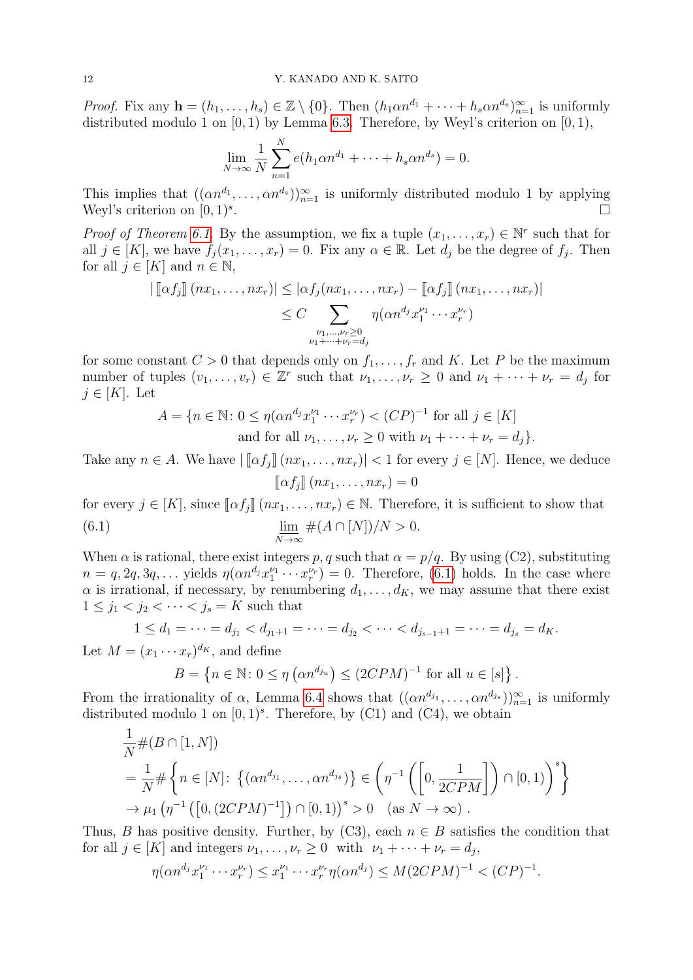*Proof.* Fix any  $\mathbf{h} = (h_1, \ldots, h_s) \in \mathbb{Z} \setminus \{0\}$ . Then  $(h_1 \alpha n^{d_1} + \cdots + h_s \alpha n^{d_s})_{n=1}^{\infty}$  is uniformly distributed modulo 1 on  $[0, 1)$  by Lemma [6.3.](#page-10-2) Therefore, by Weyl's criterion on  $[0, 1)$ ,

$$
\lim_{N \to \infty} \frac{1}{N} \sum_{n=1}^{N} e(h_1 \alpha n^{d_1} + \dots + h_s \alpha n^{d_s}) = 0.
$$

This implies that  $((\alpha n^{d_1}, \ldots, \alpha n^{d_s}))_{n=1}^{\infty}$  is uniformly distributed modulo 1 by applying Weyl's criterion on  $[0, 1)^s$ . .

*Proof of Theorem [6.1.](#page-10-0)* By the assumption, we fix a tuple  $(x_1, \ldots, x_r) \in \mathbb{N}^r$  such that for all  $j \in [K]$ , we have  $f_j(x_1, \ldots, x_r) = 0$ . Fix any  $\alpha \in \mathbb{R}$ . Let  $d_j$  be the degree of  $f_j$ . Then for all  $j \in [K]$  and  $n \in \mathbb{N}$ ,

$$
\left| \left[ \alpha f_j \right] \left( nx_1, \ldots, nx_r \right) \right| \leq \left| \alpha f_j(nx_1, \ldots, nx_r) - \left[ \alpha f_j \right] \left( nx_1, \ldots, nx_r \right) \right|
$$
  

$$
\leq C \sum_{\substack{\nu_1, \ldots, \nu_r \geq 0 \\ \nu_1 + \cdots + \nu_r = d_j}} \eta(\alpha n^{d_j} x_1^{\nu_1} \cdots x_r^{\nu_r})
$$

for some constant  $C > 0$  that depends only on  $f_1, \ldots, f_r$  and K. Let P be the maximum number of tuples  $(v_1, \ldots, v_r) \in \mathbb{Z}^r$  such that  $\nu_1, \ldots, \nu_r \geq 0$  and  $\nu_1 + \cdots + \nu_r = d_j$  for  $j \in [K]$ . Let

<span id="page-11-0"></span>
$$
A = \{ n \in \mathbb{N} \colon 0 \le \eta(\alpha n^{d_j} x_1^{\nu_1} \cdots x_r^{\nu_r}) < (CP)^{-1} \text{ for all } j \in [K]
$$
  
and for all  $\nu_1, \ldots, \nu_r \ge 0$  with  $\nu_1 + \cdots + \nu_r = d_j \}.$ 

Take any  $n \in A$ . We have  $|\llbracket \alpha f_i \rrbracket (nx_1, \ldots, nx_r)| < 1$  for every  $j \in [N]$ . Hence, we deduce  $\llbracket \alpha f_i \rrbracket$   $(nx_1, \ldots, nx_r) = 0$ 

for every  $j \in [K]$ , since  $[\![\alpha f_i]\!](nx_1, \ldots, nx_r) \in \mathbb{N}$ . Therefore, it is sufficient to show that

(6.1) 
$$
\lim_{N \to \infty} \#(A \cap [N])/N > 0.
$$

When  $\alpha$  is rational, there exist integers p, q such that  $\alpha = p/q$ . By using (C2), substituting  $n = q, 2q, 3q, \ldots$  yields  $\eta(\alpha n^{d_j} x_1^{\nu_1} \cdots x_r^{\nu_r}) = 0$ . Therefore, [\(6.1\)](#page-11-0) holds. In the case where  $\alpha$  is irrational, if necessary, by renumbering  $d_1, \ldots, d_K$ , we may assume that there exist  $1\leq j_1 < j_2 < \cdots < j_s = K$  such that

$$
1 \le d_1 = \dots = d_{j_1} < d_{j_1+1} = \dots = d_{j_2} < \dots < d_{j_{s-1}+1} = \dots = d_{j_s} = d_K.
$$

Let  $M = (x_1 \cdots x_r)^{d_K}$ , and define

$$
B = \left\{ n \in \mathbb{N} \colon 0 \le \eta \left( \alpha n^{d_{j_u}} \right) \le (2CPM)^{-1} \text{ for all } u \in [s] \right\}.
$$

From the irrationality of  $\alpha$ , Lemma [6.4](#page-10-3) shows that  $((\alpha n^{d_{j_1}}, \ldots, \alpha n^{d_{j_s}}))_{n=1}^{\infty}$  is uniformly distributed modulo 1 on  $[0,1)^s$ . Therefore, by (C1) and (C4), we obtain

$$
\frac{1}{N} \#(B \cap [1, N])
$$
\n
$$
= \frac{1}{N} \# \left\{ n \in [N] \colon \left\{ (\alpha n^{d_{j_1}}, \dots, \alpha n^{d_{j_s}}) \right\} \in \left( \eta^{-1} \left( \left[ 0, \frac{1}{2CPM} \right] \right) \cap [0, 1) \right)^s \right\}
$$
\n
$$
\to \mu_1 \left( \eta^{-1} \left( \left[ 0, (2CPM)^{-1} \right] \right) \cap [0, 1) \right)^s > 0 \quad \text{(as } N \to \infty \text{)}.
$$

Thus, B has positive density. Further, by  $(C3)$ , each  $n \in B$  satisfies the condition that for all  $j \in [K]$  and integers  $\nu_1, \ldots, \nu_r \geq 0$  with  $\nu_1 + \cdots + \nu_r = d_j$ ,

$$
\eta(\alpha n^{d_j} x_1^{\nu_1} \cdots x_r^{\nu_r}) \le x_1^{\nu_1} \cdots x_r^{\nu_r} \eta(\alpha n^{d_j}) \le M(2CPM)^{-1} < (CP)^{-1}.
$$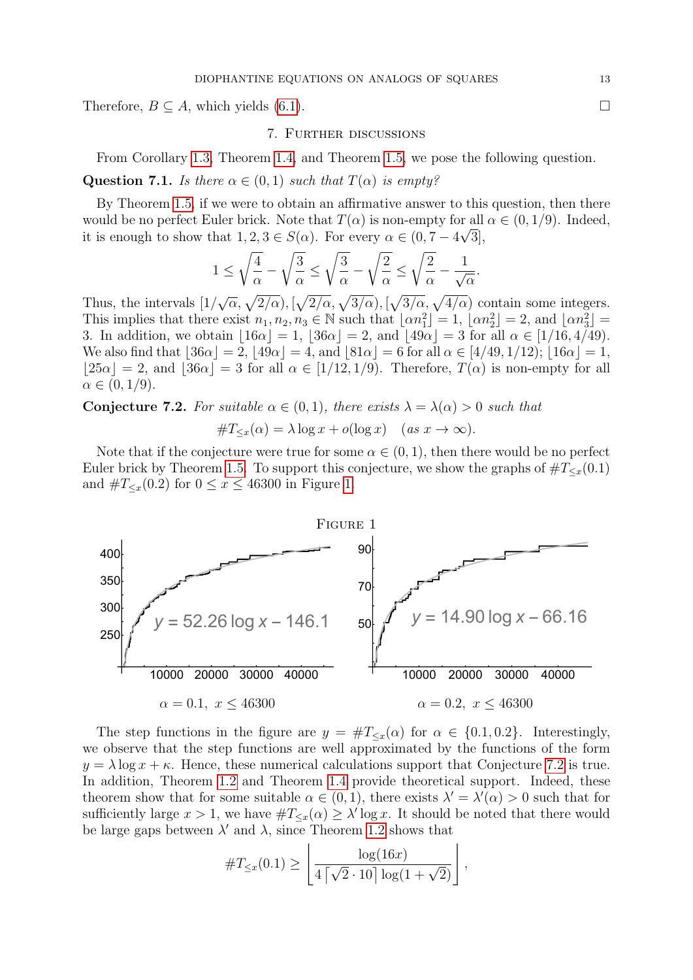<span id="page-12-0"></span>Therefore,  $B \subseteq A$ , which yields [\(6.1\)](#page-11-0).

#### 7. Further discussions

From Corollary [1.3,](#page-1-2) Theorem [1.4,](#page-1-3) and Theorem [1.5,](#page-1-4) we pose the following question.

Question 7.1. Is there  $\alpha \in (0,1)$  such that  $T(\alpha)$  is empty?

By Theorem [1.5,](#page-1-4) if we were to obtain an affirmative answer to this question, then there would be no perfect Euler brick. Note that  $T(\alpha)$  is non-empty for all  $\alpha \in (0, 1/9)$ . Indeed, it is enough to show that  $1, 2, 3 \in S(\alpha)$ . For every  $\alpha \in (0, 7 - 4\sqrt{3}]$ ,

$$
1 \le \sqrt{\frac{4}{\alpha}} - \sqrt{\frac{3}{\alpha}} \le \sqrt{\frac{3}{\alpha}} - \sqrt{\frac{2}{\alpha}} \le \sqrt{\frac{2}{\alpha}} - \frac{1}{\sqrt{\alpha}}.
$$

Thus, the intervals [1/  $\sqrt{\alpha}, \sqrt{2/\alpha}, \sqrt{2/\alpha}, \sqrt{3/\alpha}, \sqrt{3/\alpha}, \sqrt{4/\alpha}$  contain some integers. This implies that there exist  $n_1, n_2, n_3 \in \mathbb{N}$  such that  $\lfloor \alpha n_1^2 \rfloor = 1$ ,  $\lfloor \alpha n_2^2 \rfloor = 2$ , and  $\lfloor \alpha n_3^2 \rfloor =$ 3. In addition, we obtain  $\lfloor 16\alpha \rfloor = 1$ ,  $\lfloor 36\alpha \rfloor = 2$ , and  $\lfloor 49\alpha \rfloor = 3$  for all  $\alpha \in [1/16, 4/49)$ . We also find that  $|36\alpha| = 2$ ,  $|49\alpha| = 4$ , and  $|81\alpha| = 6$  for all  $\alpha \in [4/49, 1/12)$ ;  $|16\alpha| = 1$ ,  $|25\alpha| = 2$ , and  $|36\alpha| = 3$  for all  $\alpha \in [1/12, 1/9)$ . Therefore,  $T(\alpha)$  is non-empty for all  $\alpha \in (0, 1/9).$ 

<span id="page-12-2"></span>**Conjecture 7.2.** For suitable  $\alpha \in (0,1)$ , there exists  $\lambda = \lambda(\alpha) > 0$  such that  $\#T_{\leq x}(\alpha) = \lambda \log x + o(\log x) \quad (as \ x \to \infty).$ 

Note that if the conjecture were true for some  $\alpha \in (0,1)$ , then there would be no perfect Euler brick by Theorem [1.5.](#page-1-4) To support this conjecture, we show the graphs of  $\#T_{\leq x}(0.1)$ and  $\#T_{\leq x}(0.2)$  for  $0 \leq x \leq 46300$  in Figure [1.](#page-12-1)

<span id="page-12-1"></span>

The step functions in the figure are  $y = \#T_{\leq x}(\alpha)$  for  $\alpha \in \{0.1, 0.2\}$ . Interestingly, we observe that the step functions are well approximated by the functions of the form  $y = \lambda \log x + \kappa$ . Hence, these numerical calculations support that Conjecture [7.2](#page-12-2) is true. In addition, Theorem [1.2](#page-1-1) and Theorem [1.4](#page-1-3) provide theoretical support. Indeed, these theorem show that for some suitable  $\alpha \in (0,1)$ , there exists  $\lambda' = \lambda'(\alpha) > 0$  such that for sufficiently large  $x > 1$ , we have  $\#T_{\leq x}(\alpha) \geq \lambda' \log x$ . It should be noted that there would be large gaps between  $\lambda'$  and  $\lambda$ , since Theorem [1.2](#page-1-1) shows that

$$
\#T_{\leq x}(0.1) \geq \left\lfloor \frac{\log(16x)}{4\left\lceil \sqrt{2} \cdot 10 \right\rceil \log(1 + \sqrt{2})} \right\rfloor,
$$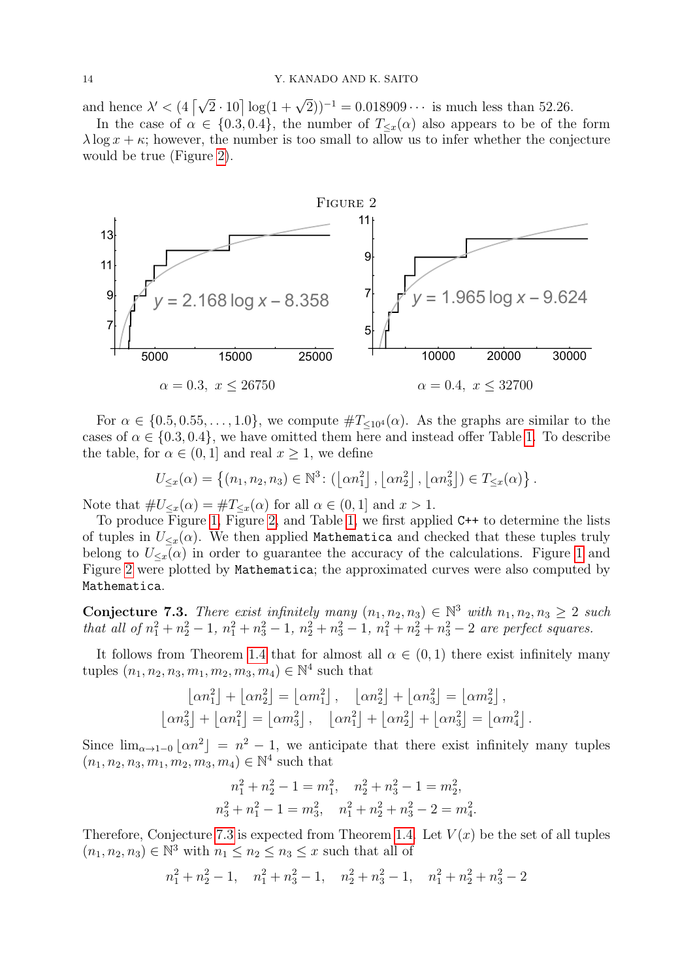and hence  $\lambda' < (4 \lceil \sqrt{2} \cdot 10 \rceil \log(1 + \sqrt{2}))^{-1} = 0.018909 \cdots$  is much less than 52.26.

In the case of  $\alpha \in \{0.3, 0.4\}$ , the number of  $T_{\leq x}(\alpha)$  also appears to be of the form  $\lambda \log x + \kappa$ ; however, the number is too small to allow us to infer whether the conjecture would be true (Figure [2\)](#page-13-0).

<span id="page-13-0"></span>

For  $\alpha \in \{0.5, 0.55, \ldots, 1.0\}$ , we compute  $\#T_{\leq 10^4}(\alpha)$ . As the graphs are similar to the cases of  $\alpha \in \{0.3, 0.4\}$ , we have omitted them here and instead offer Table [1.](#page-14-0) To describe the table, for  $\alpha \in (0,1]$  and real  $x \geq 1$ , we define

$$
U_{\leq x}(\alpha) = \left\{ (n_1, n_2, n_3) \in \mathbb{N}^3 : \left( \lfloor \alpha n_1^2 \rfloor, \lfloor \alpha n_2^2 \rfloor, \lfloor \alpha n_3^2 \rfloor \right) \in T_{\leq x}(\alpha) \right\}.
$$

Note that  $\#U_{\leq x}(\alpha) = \#T_{\leq x}(\alpha)$  for all  $\alpha \in (0,1]$  and  $x > 1$ .

To produce Figure [1,](#page-12-1) Figure [2,](#page-13-0) and Table [1,](#page-14-0) we first applied C++ to determine the lists of tuples in  $U_{\leq x}(\alpha)$ . We then applied Mathematica and checked that these tuples truly belong to  $U_{\leq x}(\alpha)$  in order to guarantee the accuracy of the calculations. Figure [1](#page-12-1) and Figure [2](#page-13-0) were plotted by Mathematica; the approximated curves were also computed by Mathematica.

<span id="page-13-1"></span>Conjecture 7.3. There exist infinitely many  $(n_1, n_2, n_3) \in \mathbb{N}^3$  with  $n_1, n_2, n_3 \geq 2$  such that all of  $n_1^2 + n_2^2 - 1$ ,  $n_1^2 + n_3^2 - 1$ ,  $n_2^2 + n_3^2 - 1$ ,  $n_1^2 + n_2^2 + n_3^2 - 2$  are perfect squares.

It follows from Theorem [1.4](#page-1-3) that for almost all  $\alpha \in (0,1)$  there exist infinitely many tuples  $(n_1, n_2, n_3, m_1, m_2, m_3, m_4) \in \mathbb{N}^4$  such that

$$
\begin{aligned}\n\lfloor \alpha n_1^2 \rfloor + \lfloor \alpha n_2^2 \rfloor &= \lfloor \alpha m_1^2 \rfloor, \quad \lfloor \alpha n_2^2 \rfloor + \lfloor \alpha n_3^2 \rfloor = \lfloor \alpha m_2^2 \rfloor, \\
\lfloor \alpha n_3^2 \rfloor + \lfloor \alpha n_1^2 \rfloor &= \lfloor \alpha m_3^2 \rfloor, \quad \lfloor \alpha n_1^2 \rfloor + \lfloor \alpha n_2^2 \rfloor + \lfloor \alpha n_3^2 \rfloor = \lfloor \alpha m_4^2 \rfloor.\n\end{aligned}
$$

Since  $\lim_{\alpha\to 1-0}$   $\lfloor \alpha n^2 \rfloor = n^2 - 1$ , we anticipate that there exist infinitely many tuples  $(n_1, n_2, n_3, m_1, m_2, m_3, m_4) \in \mathbb{N}^4$  such that

$$
n_1^2 + n_2^2 - 1 = m_1^2, \quad n_2^2 + n_3^2 - 1 = m_2^2,
$$
  

$$
n_3^2 + n_1^2 - 1 = m_3^2, \quad n_1^2 + n_2^2 + n_3^2 - 2 = m_4^2.
$$

Therefore, Conjecture [7.3](#page-13-1) is expected from Theorem [1.4.](#page-1-3) Let  $V(x)$  be the set of all tuples  $(n_1, n_2, n_3) \in \mathbb{N}^3$  with  $n_1 \leq n_2 \leq n_3 \leq x$  such that all of

$$
n_1^2 + n_2^2 - 1
$$
,  $n_1^2 + n_3^2 - 1$ ,  $n_2^2 + n_3^2 - 1$ ,  $n_1^2 + n_2^2 + n_3^2 - 2$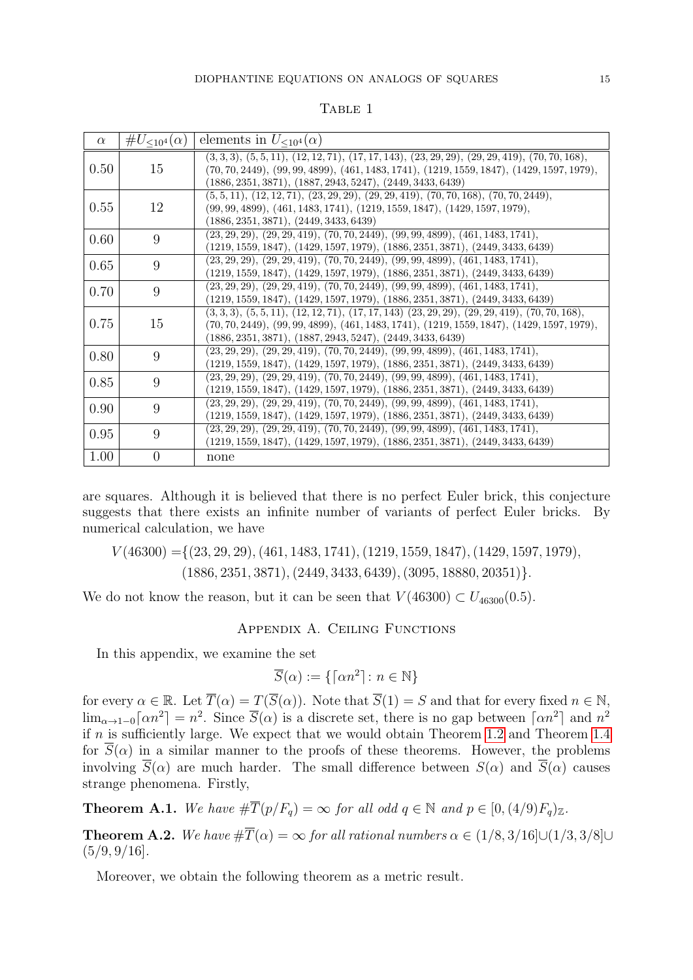<span id="page-14-0"></span>

| $\alpha$ | # $U_{\leq 10^4}(\alpha)$ | elements in $U_{\leq 10^4}(\alpha)$                                                                                                                                                                                                                  |
|----------|---------------------------|------------------------------------------------------------------------------------------------------------------------------------------------------------------------------------------------------------------------------------------------------|
| 0.50     | 15                        | $(3,3,3), (5,5,11), (12,12,71), (17,17,143), (23,29,29), (29,29,419), (70,70,168),$<br>$(70, 70, 2449), (99, 99, 4899), (461, 1483, 1741), (1219, 1559, 1847), (1429, 1597, 1979),$<br>$(1886, 2351, 3871), (1887, 2943, 5247), (2449, 3433, 6439)$  |
| 0.55     | 12                        | $(5,5,11), (12,12,71), (23,29,29), (29,29,419), (70,70,168), (70,70,2449),$<br>$(99, 99, 4899), (461, 1483, 1741), (1219, 1559, 1847), (1429, 1597, 1979),$<br>$(1886, 2351, 3871), (2449, 3433, 6439)$                                              |
| 0.60     | 9                         | $(23, 29, 29), (29, 29, 419), (70, 70, 2449), (99, 99, 4899), (461, 1483, 1741),$<br>$(1219, 1559, 1847), (1429, 1597, 1979), (1886, 2351, 3871), (2449, 3433, 6439)$                                                                                |
| 0.65     | 9                         | $(23, 29, 29), (29, 29, 419), (70, 70, 2449), (99, 99, 4899), (461, 1483, 1741),$<br>$(1219, 1559, 1847), (1429, 1597, 1979), (1886, 2351, 3871), (2449, 3433, 6439)$                                                                                |
| 0.70     | 9                         | $(23, 29, 29), (29, 29, 419), (70, 70, 2449), (99, 99, 4899), (461, 1483, 1741),$<br>$(1219, 1559, 1847), (1429, 1597, 1979), (1886, 2351, 3871), (2449, 3433, 6439)$                                                                                |
| 0.75     | 15                        | $(3,3,3), (5,5,11), (12,12,71), (17,17,143)$ $(23,29,29), (29,29,419), (70,70,168),$<br>$(70, 70, 2449), (99, 99, 4899), (461, 1483, 1741), (1219, 1559, 1847), (1429, 1597, 1979),$<br>$(1886, 2351, 3871), (1887, 2943, 5247), (2449, 3433, 6439)$ |
| 0.80     | 9                         | $(23, 29, 29), (29, 29, 419), (70, 70, 2449), (99, 99, 4899), (461, 1483, 1741),$<br>$(1219, 1559, 1847), (1429, 1597, 1979), (1886, 2351, 3871), (2449, 3433, 6439)$                                                                                |
| 0.85     | 9                         | $(23, 29, 29), (29, 29, 419), (70, 70, 2449), (99, 99, 4899), (461, 1483, 1741),$<br>$(1219, 1559, 1847), (1429, 1597, 1979), (1886, 2351, 3871), (2449, 3433, 6439)$                                                                                |
| 0.90     | 9                         | $(23, 29, 29), (29, 29, 419), (70, 70, 2449), (99, 99, 4899), (461, 1483, 1741),$<br>$(1219, 1559, 1847), (1429, 1597, 1979), (1886, 2351, 3871), (2449, 3433, 6439)$                                                                                |
| 0.95     | 9                         | $(23, 29, 29), (29, 29, 419), (70, 70, 2449), (99, 99, 4899), (461, 1483, 1741),$<br>$(1219, 1559, 1847), (1429, 1597, 1979), (1886, 2351, 3871), (2449, 3433, 6439)$                                                                                |
| 1.00     | $\overline{0}$            | none                                                                                                                                                                                                                                                 |

TABLE 1

are squares. Although it is believed that there is no perfect Euler brick, this conjecture suggests that there exists an infinite number of variants of perfect Euler bricks. By numerical calculation, we have

 $V(46300) = \{(23, 29, 29), (461, 1483, 1741), (1219, 1559, 1847), (1429, 1597, 1979),$  $(1886, 2351, 3871), (2449, 3433, 6439), (3095, 18880, 20351)\}.$ 

We do not know the reason, but it can be seen that  $V(46300) \subset U_{46300}(0.5)$ .

Appendix A. Ceiling Functions

In this appendix, we examine the set

$$
\overline{S}(\alpha) := \{ \lceil \alpha n^2 \rceil : n \in \mathbb{N} \}
$$

for every  $\alpha \in \mathbb{R}$ . Let  $\overline{T}(\alpha) = T(\overline{S}(\alpha))$ . Note that  $\overline{S}(1) = S$  and that for every fixed  $n \in \mathbb{N}$ ,  $\lim_{\alpha\to 1-0} \lceil \alpha n^2 \rceil = n^2$ . Since  $\overline{S}(\alpha)$  is a discrete set, there is no gap between  $\lceil \alpha n^2 \rceil$  and  $n^2$ if  $n$  is sufficiently large. We expect that we would obtain Theorem [1.2](#page-1-1) and Theorem [1.4](#page-1-3) for  $\overline{S}(\alpha)$  in a similar manner to the proofs of these theorems. However, the problems involving  $\overline{S}(\alpha)$  are much harder. The small difference between  $S(\alpha)$  and  $\overline{S}(\alpha)$  causes strange phenomena. Firstly,

<span id="page-14-1"></span>**Theorem A.1.** We have  $\#\overline{T}(p/F_a) = \infty$  for all odd  $q \in \mathbb{N}$  and  $p \in [0,(4/9)F_a)_{\mathbb{Z}}$ .

<span id="page-14-2"></span>**Theorem A.2.** We have  $\#\overline{T}(\alpha) = \infty$  for all rational numbers  $\alpha \in (1/8, 3/16] \cup (1/3, 3/8] \cup$  $(5/9, 9/16]$ .

Moreover, we obtain the following theorem as a metric result.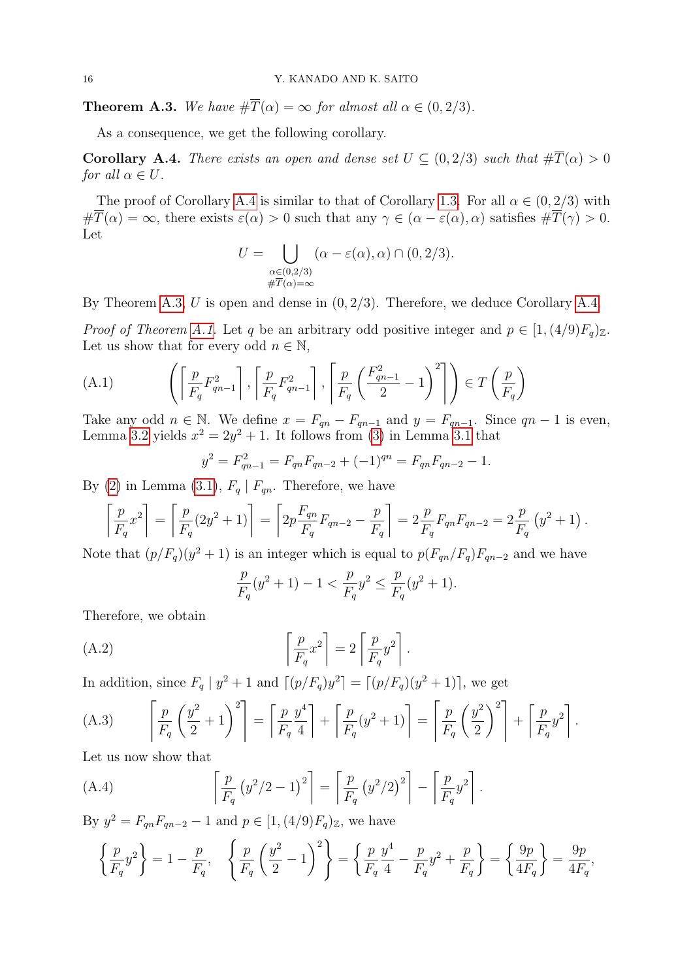<span id="page-15-1"></span>**Theorem A.3.** We have  $\#\overline{T}(\alpha) = \infty$  for almost all  $\alpha \in (0, 2/3)$ .

As a consequence, we get the following corollary.

<span id="page-15-0"></span>**Corollary A.4.** There exists an open and dense set  $U \subseteq (0, 2/3)$  such that  $\#\overline{T}(\alpha) > 0$ for all  $\alpha \in U$ .

The proof of Corollary [A.4](#page-15-0) is similar to that of Corollary [1.3.](#page-1-2) For all  $\alpha \in (0, 2/3)$  with  $\#\overline{T}(\alpha) = \infty$ , there exists  $\varepsilon(\alpha) > 0$  such that any  $\gamma \in (\alpha - \varepsilon(\alpha), \alpha)$  satisfies  $\#\overline{T}(\gamma) > 0$ . Let

$$
U = \bigcup_{\substack{\alpha \in (0,2/3) \\ \#\overline{T}(\alpha) = \infty}} (\alpha - \varepsilon(\alpha), \alpha) \cap (0, 2/3).
$$

By Theorem [A.3,](#page-15-1) U is open and dense in  $(0, 2/3)$ . Therefore, we deduce Corollary [A.4.](#page-15-0)

*Proof of Theorem [A.1.](#page-14-1)* Let q be an arbitrary odd positive integer and  $p \in [1,(4/9)F_q)_\mathbb{Z}$ . Let us show that for every odd  $n \in \mathbb{N}$ ,

<span id="page-15-3"></span>(A.1) 
$$
\left( \left\lceil \frac{p}{F_q} F_{qn-1}^2 \right\rceil, \left\lceil \frac{p}{F_q} F_{qn-1}^2 \right\rceil, \left\lceil \frac{p}{F_q} \left( \frac{F_{qn-1}^2}{2} - 1 \right)^2 \right\rceil \right) \in T \left( \frac{p}{F_q} \right)
$$

Take any odd  $n \in \mathbb{N}$ . We define  $x = F_{qn} - F_{qn-1}$  and  $y = F_{qn-1}$ . Since  $qn - 1$  is even, Lemma [3.2](#page-5-7) yields  $x^2 = 2y^2 + 1$ . It follows from [\(3\)](#page-5-3) in Lemma [3.1](#page-5-5) that

$$
y^{2} = F_{qn-1}^{2} = F_{qn}F_{qn-2} + (-1)^{qn} = F_{qn}F_{qn-2} - 1.
$$

By [\(2\)](#page-5-2) in Lemma [\(3.1\)](#page-5-5),  $F_q \mid F_{qn}$ . Therefore, we have

$$
\left[\frac{p}{F_q}x^2\right] = \left[\frac{p}{F_q}(2y^2+1)\right] = \left[2p\frac{F_{qn}}{F_q}F_{qn-2} - \frac{p}{F_q}\right] = 2\frac{p}{F_q}F_{qn}F_{qn-2} = 2\frac{p}{F_q}(y^2+1).
$$

Note that  $(p/F_q)(y^2 + 1)$  is an integer which is equal to  $p(F_{qn}/F_q)F_{qn-2}$  and we have

<span id="page-15-4"></span>
$$
\frac{p}{F_q}(y^2+1) - 1 < \frac{p}{F_q}y^2 \le \frac{p}{F_q}(y^2+1).
$$

Therefore, we obtain

(A.2) 
$$
\left[\frac{p}{F_q}x^2\right] = 2\left[\frac{p}{F_q}y^2\right].
$$

In addition, since  $F_q | y^2 + 1$  and  $[(p/F_q)y^2] = [(p/F_q)(y^2 + 1)]$ , we get

<span id="page-15-5"></span>(A.3) 
$$
\left[\frac{p}{F_q}\left(\frac{y^2}{2}+1\right)^2\right] = \left[\frac{p}{F_q}\frac{y^4}{4}\right] + \left[\frac{p}{F_q}(y^2+1)\right] = \left[\frac{p}{F_q}\left(\frac{y^2}{2}\right)^2\right] + \left[\frac{p}{F_q}y^2\right].
$$

Let us now show that

<span id="page-15-2"></span>(A.4) 
$$
\left[\frac{p}{F_q} (y^2/2 - 1)^2\right] = \left[\frac{p}{F_q} (y^2/2)^2\right] - \left[\frac{p}{F_q} y^2\right].
$$

By  $y^2 = F_{qn}F_{qn-2} - 1$  and  $p \in [1, (4/9)F_q)_{\mathbb{Z}}$ , we have

$$
\left\{\frac{p}{F_q}y^2\right\} = 1 - \frac{p}{F_q}, \quad \left\{\frac{p}{F_q}\left(\frac{y^2}{2} - 1\right)^2\right\} = \left\{\frac{p}{F_q}\frac{y^4}{4} - \frac{p}{F_q}y^2 + \frac{p}{F_q}\right\} = \left\{\frac{9p}{4F_q}\right\} = \frac{9p}{4F_q},
$$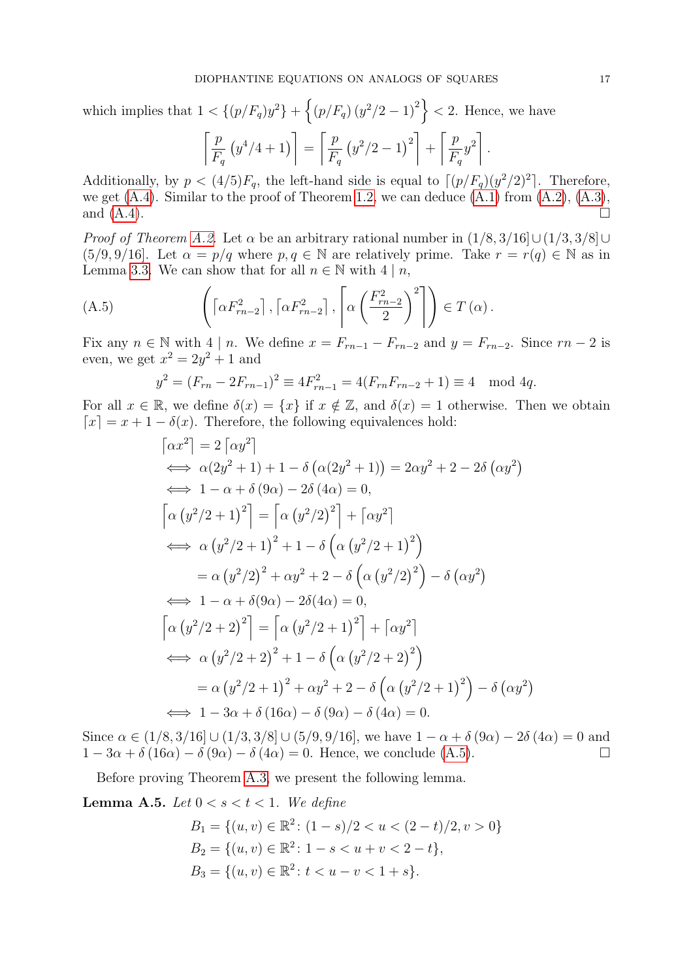which implies that  $1 < \{(p/F_q)y^2\} + \{(p/F_q)(y^2/2-1)^2\} < 2$ . Hence, we have

$$
\left[\frac{p}{F_q} (y^4/4 + 1)\right] = \left[\frac{p}{F_q} (y^2/2 - 1)^2\right] + \left[\frac{p}{F_q} y^2\right].
$$

Additionally, by  $p < (4/5)F_q$ , the left-hand side is equal to  $\lceil (p/F_q)(y^2/2)^2 \rceil$ . Therefore, we get  $(A.4)$ . Similar to the proof of Theorem [1.2,](#page-1-1) we can deduce  $(A.1)$  from  $(A.2)$ ,  $(A.3)$ , and  $(A.4)$ .

*Proof of Theorem [A.2.](#page-14-2)* Let  $\alpha$  be an arbitrary rational number in  $(1/8, 3/16] \cup (1/3, 3/8] \cup$  $(5/9, 9/16]$ . Let  $\alpha = p/q$  where  $p, q \in \mathbb{N}$  are relatively prime. Take  $r = r(q) \in \mathbb{N}$  as in Lemma [3.3.](#page-5-6) We can show that for all  $n \in \mathbb{N}$  with  $4 \mid n$ ,

(A.5) 
$$
\left( \left[ \alpha F_{rn-2}^2 \right], \left[ \alpha F_{rn-2}^2 \right], \left[ \alpha \left( \frac{F_{rn-2}^2}{2} \right)^2 \right] \right) \in T(\alpha).
$$

Fix any  $n \in \mathbb{N}$  with  $4 \mid n$ . We define  $x = F_{rn-1} - F_{rn-2}$  and  $y = F_{rn-2}$ . Since  $rn-2$  is even, we get  $x^2 = 2y^2 + 1$  and

<span id="page-16-0"></span>
$$
y^{2} = (F_{rn} - 2F_{rn-1})^{2} \equiv 4F_{rn-1}^{2} = 4(F_{rn}F_{rn-2} + 1) \equiv 4 \mod{4q}.
$$

For all  $x \in \mathbb{R}$ , we define  $\delta(x) = \{x\}$  if  $x \notin \mathbb{Z}$ , and  $\delta(x) = 1$  otherwise. Then we obtain  $\lceil x \rceil = x + 1 - \delta(x)$ . Therefore, the following equivalences hold:

$$
\begin{aligned}\n\left[\alpha x^2\right] &= 2\left[\alpha y^2\right] \\
&\iff \alpha(2y^2 + 1) + 1 - \delta\left(\alpha(2y^2 + 1)\right) = 2\alpha y^2 + 2 - 2\delta\left(\alpha y^2\right) \\
&\iff 1 - \alpha + \delta(9\alpha) - 2\delta(4\alpha) = 0, \\
\left[\alpha\left(y^2/2 + 1\right)^2\right] &= \left[\alpha\left(y^2/2\right)^2\right] + \left[\alpha y^2\right] \\
&\iff \alpha\left(y^2/2 + 1\right)^2 + 1 - \delta\left(\alpha\left(y^2/2 + 1\right)^2\right) \\
&= \alpha\left(y^2/2\right)^2 + \alpha y^2 + 2 - \delta\left(\alpha\left(y^2/2\right)^2\right) - \delta\left(\alpha y^2\right) \\
&\iff 1 - \alpha + \delta(9\alpha) - 2\delta(4\alpha) = 0, \\
\left[\alpha\left(y^2/2 + 2\right)^2\right] &= \left[\alpha\left(y^2/2 + 1\right)^2\right] + \left[\alpha y^2\right] \\
&\iff \alpha\left(y^2/2 + 2\right)^2 + 1 - \delta\left(\alpha\left(y^2/2 + 2\right)^2\right) \\
&= \alpha\left(y^2/2 + 1\right)^2 + \alpha y^2 + 2 - \delta\left(\alpha\left(y^2/2 + 1\right)^2\right) - \delta\left(\alpha y^2\right) \\
&\iff 1 - 3\alpha + \delta(16\alpha) - \delta(9\alpha) - \delta(4\alpha) = 0.\n\end{aligned}
$$

Since  $\alpha \in (1/8, 3/16] \cup (1/3, 3/8] \cup (5/9, 9/16]$ , we have  $1 - \alpha + \delta(9\alpha) - 2\delta(4\alpha) = 0$  and  $1-3\alpha+\delta(16\alpha)-\delta(9\alpha)-\delta(4\alpha)=0$ . Hence, we conclude [\(A.5\)](#page-16-0).

Before proving Theorem [A.3,](#page-15-1) we present the following lemma.

<span id="page-16-1"></span>**Lemma A.5.** Let  $0 < s < t < 1$ . We define

$$
B_1 = \{(u, v) \in \mathbb{R}^2 \colon (1 - s)/2 < u < (2 - t)/2, v > 0\}
$$
\n
$$
B_2 = \{(u, v) \in \mathbb{R}^2 \colon 1 - s < u + v < 2 - t\},
$$
\n
$$
B_3 = \{(u, v) \in \mathbb{R}^2 \colon t < u - v < 1 + s\}.
$$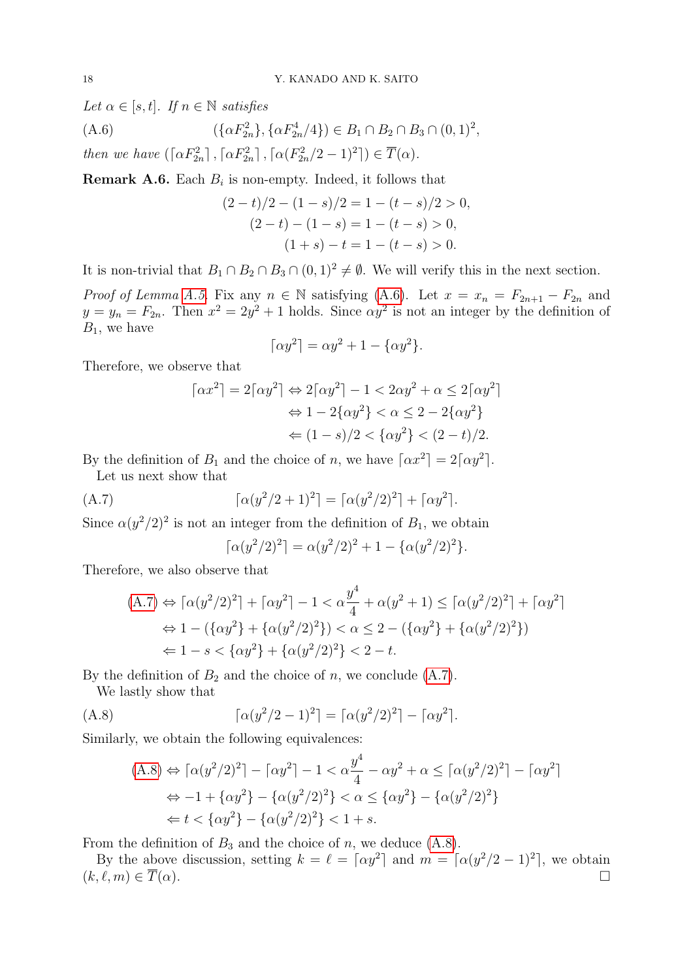Let  $\alpha \in [s, t]$ . If  $n \in \mathbb{N}$  satisfies

(A.6) 
$$
(\{\alpha F_{2n}^2\}, \{\alpha F_{2n}^4/4\}) \in B_1 \cap B_2 \cap B_3 \cap (0, 1)^2,
$$

then we have  $(\lceil \alpha F_{2n}^2 \rceil, \lceil \alpha F_{2n}^2 \rceil, \lceil \alpha (F_{2n}^2/2 - 1)^2 \rceil) \in \overline{T}(\alpha)$ .

**Remark A.6.** Each  $B_i$  is non-empty. Indeed, it follows that

<span id="page-17-0"></span>
$$
(2-t)/2 - (1-s)/2 = 1 - (t-s)/2 > 0,
$$
  
\n
$$
(2-t) - (1-s) = 1 - (t-s) > 0,
$$
  
\n
$$
(1+s) - t = 1 - (t-s) > 0.
$$

It is non-trivial that  $B_1 \cap B_2 \cap B_3 \cap (0,1)^2 \neq \emptyset$ . We will verify this in the next section.

Proof of Lemma [A.5.](#page-16-1) Fix any  $n \in \mathbb{N}$  satisfying [\(A.6\)](#page-17-0). Let  $x = x_n = F_{2n+1} - F_{2n}$  and  $y = y_n = F_{2n}$ . Then  $x^2 = 2y^2 + 1$  holds. Since  $\alpha y^2$  is not an integer by the definition of  $B_1$ , we have

$$
\lceil \alpha y^2 \rceil = \alpha y^2 + 1 - \{\alpha y^2\}.
$$

Therefore, we observe that

$$
\lceil \alpha x^2 \rceil = 2\lceil \alpha y^2 \rceil \Leftrightarrow 2\lceil \alpha y^2 \rceil - 1 < 2\alpha y^2 + \alpha \le 2\lceil \alpha y^2 \rceil
$$
\n
$$
\Leftrightarrow 1 - 2\{\alpha y^2\} < \alpha \le 2 - 2\{\alpha y^2\}
$$
\n
$$
\Leftrightarrow (1 - s)/2 < \{\alpha y^2\} < (2 - t)/2.
$$

By the definition of  $B_1$  and the choice of n, we have  $\lceil \alpha x^2 \rceil = 2 \lceil \alpha y^2 \rceil$ .

Let us next show that

(A.7) 
$$
\lceil \alpha(y^2/2 + 1)^2 \rceil = \lceil \alpha(y^2/2)^2 \rceil + \lceil \alpha y^2 \rceil.
$$

Since  $\alpha(y^2/2)^2$  is not an integer from the definition of  $B_1$ , we obtain

<span id="page-17-1"></span>
$$
\lceil \alpha(y^2/2)^2 \rceil = \alpha(y^2/2)^2 + 1 - \{ \alpha(y^2/2)^2 \}.
$$

Therefore, we also observe that

$$
(A.7) \Leftrightarrow \lceil \alpha(y^2/2)^2 \rceil + \lceil \alpha y^2 \rceil - 1 < \alpha \frac{y^4}{4} + \alpha(y^2 + 1) \le \lceil \alpha(y^2/2)^2 \rceil + \lceil \alpha y^2 \rceil
$$
\n
$$
\Leftrightarrow 1 - (\{\alpha y^2\} + \{\alpha(y^2/2)^2\}) < \alpha \le 2 - (\{\alpha y^2\} + \{\alpha(y^2/2)^2\})
$$
\n
$$
\Leftrightarrow 1 - s < \{\alpha y^2\} + \{\alpha(y^2/2)^2\} < 2 - t.
$$

By the definition of  $B_2$  and the choice of n, we conclude  $(A.7)$ .

We lastly show that

(A.8) 
$$
\lceil \alpha(y^2/2 - 1)^2 \rceil = \lceil \alpha(y^2/2)^2 \rceil - \lceil \alpha y^2 \rceil.
$$

Similarly, we obtain the following equivalences:

<span id="page-17-2"></span>
$$
(A.8) \Leftrightarrow \lceil \alpha(y^2/2)^2 \rceil - \lceil \alpha y^2 \rceil - 1 < \alpha \frac{y^4}{4} - \alpha y^2 + \alpha \le \lceil \alpha(y^2/2)^2 \rceil - \lceil \alpha y^2 \rceil
$$
\n
$$
\Leftrightarrow -1 + \{\alpha y^2\} - \{\alpha(y^2/2)^2\} < \alpha \le \{\alpha y^2\} - \{\alpha(y^2/2)^2\}
$$
\n
$$
\Leftrightarrow t < \{\alpha y^2\} - \{\alpha(y^2/2)^2\} < 1 + s.
$$

From the definition of  $B_3$  and the choice of n, we deduce  $(A.8)$ .

By the above discussion, setting  $k = \ell = \lceil \alpha y^2 \rceil$  and  $m = \lceil \alpha(y^2/2 - 1)^2 \rceil$ , we obtain  $(k, \ell, m) \in \overline{T}(\alpha).$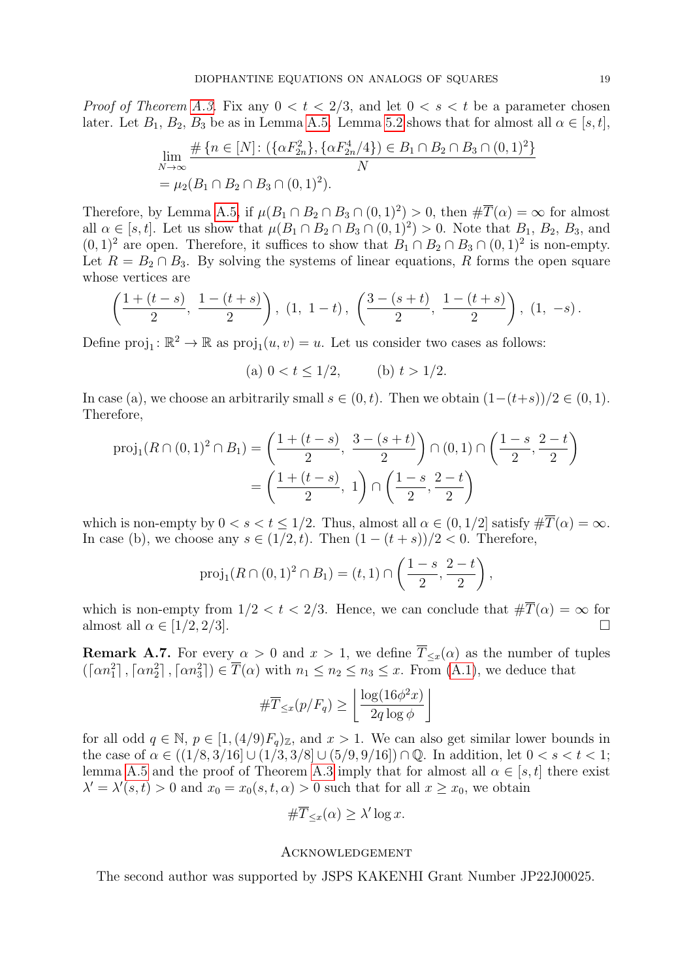*Proof of Theorem [A.3.](#page-15-1)* Fix any  $0 < t < 2/3$ , and let  $0 < s < t$  be a parameter chosen later. Let  $B_1, B_2, B_3$  be as in Lemma [A.5.](#page-16-1) Lemma [5.2](#page-8-1) shows that for almost all  $\alpha \in [s, t]$ ,

$$
\lim_{N \to \infty} \frac{\#\{n \in [N] : (\{\alpha F_{2n}^2\}, \{\alpha F_{2n}^4/4\}) \in B_1 \cap B_2 \cap B_3 \cap (0, 1)^2\}}{N}
$$
\n
$$
= \mu_2(B_1 \cap B_2 \cap B_3 \cap (0, 1)^2).
$$

Therefore, by Lemma [A.5,](#page-16-1) if  $\mu(B_1 \cap B_2 \cap B_3 \cap (0,1)^2) > 0$ , then  $\#\overline{T}(\alpha) = \infty$  for almost all  $\alpha \in [s, t]$ . Let us show that  $\mu(B_1 \cap B_2 \cap B_3 \cap (0, 1)^2) > 0$ . Note that  $B_1, B_2, B_3$ , and  $(0, 1)^2$  are open. Therefore, it suffices to show that  $B_1 \cap B_2 \cap B_3 \cap (0, 1)^2$  is non-empty. Let  $R = B_2 \cap B_3$ . By solving the systems of linear equations, R forms the open square whose vertices are

$$
\left(\frac{1+(t-s)}{2},\ \frac{1-(t+s)}{2}\right),\ (1,\ 1-t),\ \left(\frac{3-(s+t)}{2},\ \frac{1-(t+s)}{2}\right),\ (1,\ -s).
$$

Define  $proj_1: \mathbb{R}^2 \to \mathbb{R}$  as  $proj_1(u, v) = u$ . Let us consider two cases as follows:

(a)  $0 < t \le 1/2$ , (b)  $t > 1/2$ .

In case (a), we choose an arbitrarily small  $s \in (0, t)$ . Then we obtain  $(1-(t+s))/2 \in (0, 1)$ . Therefore,

$$
\text{proj}_1(R \cap (0,1)^2 \cap B_1) = \left(\frac{1 + (t - s)}{2}, \frac{3 - (s + t)}{2}\right) \cap (0,1) \cap \left(\frac{1 - s}{2}, \frac{2 - t}{2}\right)
$$

$$
= \left(\frac{1 + (t - s)}{2}, 1\right) \cap \left(\frac{1 - s}{2}, \frac{2 - t}{2}\right)
$$

which is non-empty by  $0 < s < t \leq 1/2$ . Thus, almost all  $\alpha \in (0, 1/2]$  satisfy  $\#\overline{T}(\alpha) = \infty$ . In case (b), we choose any  $s \in (1/2, t)$ . Then  $(1 - (t + s))/2 < 0$ . Therefore,

$$
\text{proj}_1(R \cap (0,1)^2 \cap B_1) = (t,1) \cap \left(\frac{1-s}{2}, \frac{2-t}{2}\right),
$$

which is non-empty from  $1/2 < t < 2/3$ . Hence, we can conclude that  $\#\overline{T}(\alpha) = \infty$  for almost all  $\alpha \in [1/2, 2/3]$ .

**Remark A.7.** For every  $\alpha > 0$  and  $x > 1$ , we define  $\overline{T}_{\leq x}(\alpha)$  as the number of tuples  $(\lceil \alpha n_1^2 \rceil, \lceil \alpha n_2^2 \rceil, \lceil \alpha n_3^2 \rceil) \in \overline{T}(\alpha)$  with  $n_1 \leq n_2 \leq n_3 \leq x$ . From  $(A.1)$ , we deduce that

$$
\#\overline{T}_{\leq x}(p/F_q) \geq \left\lfloor \frac{\log(16\phi^2 x)}{2q \log \phi} \right\rfloor
$$

for all odd  $q \in \mathbb{N}$ ,  $p \in [1, (4/9)F_q)_\mathbb{Z}$ , and  $x > 1$ . We can also get similar lower bounds in the case of  $\alpha \in ((1/8, 3/16] \cup (1/3, 3/8] \cup (5/9, 9/16]) \cap \mathbb{Q}$ . In addition, let  $0 < s < t < 1$ ; lemma [A.5](#page-16-1) and the proof of Theorem [A.3](#page-15-1) imply that for almost all  $\alpha \in [s, t]$  there exist  $\lambda' = \lambda'(s,t) > 0$  and  $x_0 = x_0(s,t,\alpha) > 0$  such that for all  $x \geq x_0$ , we obtain

$$
\#\overline{T}_{\leq x}(\alpha) \geq \lambda' \log x.
$$

## Acknowledgement

The second author was supported by JSPS KAKENHI Grant Number JP22J00025.